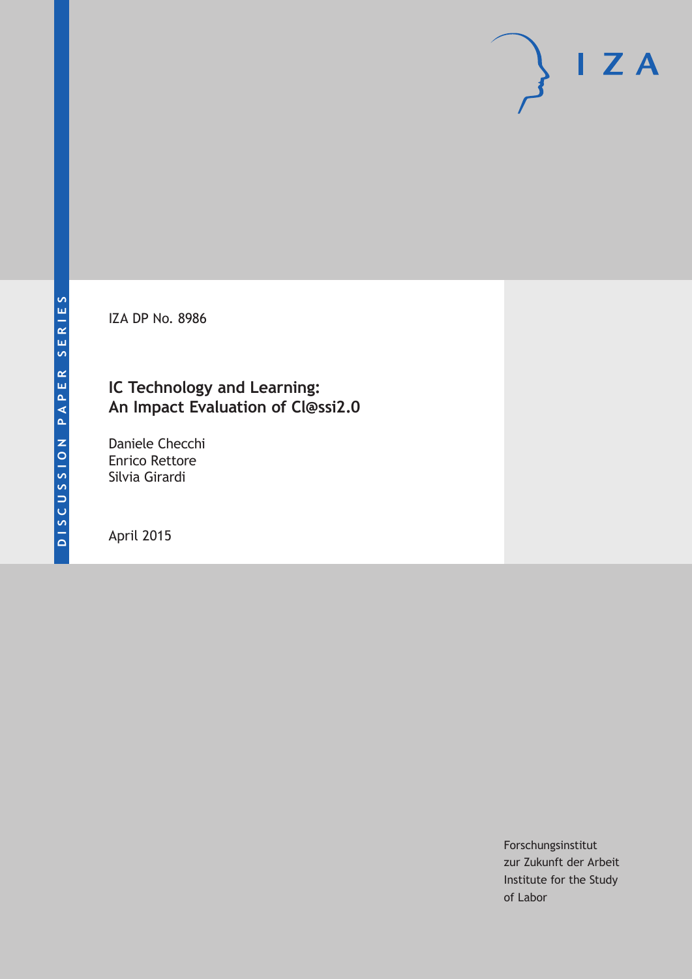IZA DP No. 8986

# **IC Technology and Learning: An Impact Evaluation of Cl@ssi2.0**

Daniele Checchi Enrico Rettore Silvia Girardi

April 2015

Forschungsinstitut zur Zukunft der Arbeit Institute for the Study of Labor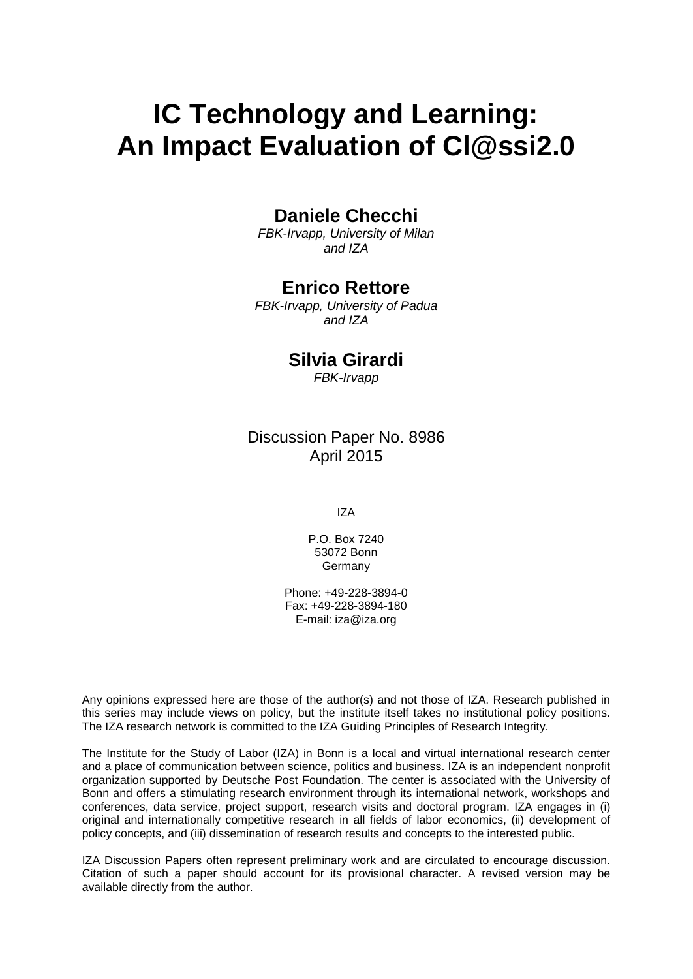# **IC Technology and Learning: An Impact Evaluation of Cl@ssi2.0**

# **Daniele Checchi**

*FBK-Irvapp, University of Milan and IZA*

### **Enrico Rettore**

*FBK-Irvapp, University of Padua and IZA*

### **Silvia Girardi**

*FBK-Irvapp*

### Discussion Paper No. 8986 April 2015

IZA

P.O. Box 7240 53072 Bonn **Germany** 

Phone: +49-228-3894-0 Fax: +49-228-3894-180 E-mail: iza@iza.org

Any opinions expressed here are those of the author(s) and not those of IZA. Research published in this series may include views on policy, but the institute itself takes no institutional policy positions. The IZA research network is committed to the IZA Guiding Principles of Research Integrity.

<span id="page-1-0"></span>The Institute for the Study of Labor (IZA) in Bonn is a local and virtual international research center and a place of communication between science, politics and business. IZA is an independent nonprofit organization supported by Deutsche Post Foundation. The center is associated with the University of Bonn and offers a stimulating research environment through its international network, workshops and conferences, data service, project support, research visits and doctoral program. IZA engages in (i) original and internationally competitive research in all fields of labor economics, (ii) development of policy concepts, and (iii) dissemination of research results and concepts to the interested public.

IZA Discussion Papers often represent preliminary work and are circulated to encourage discussion. Citation of such a paper should account for its provisional character. A revised version may be available directly from the author.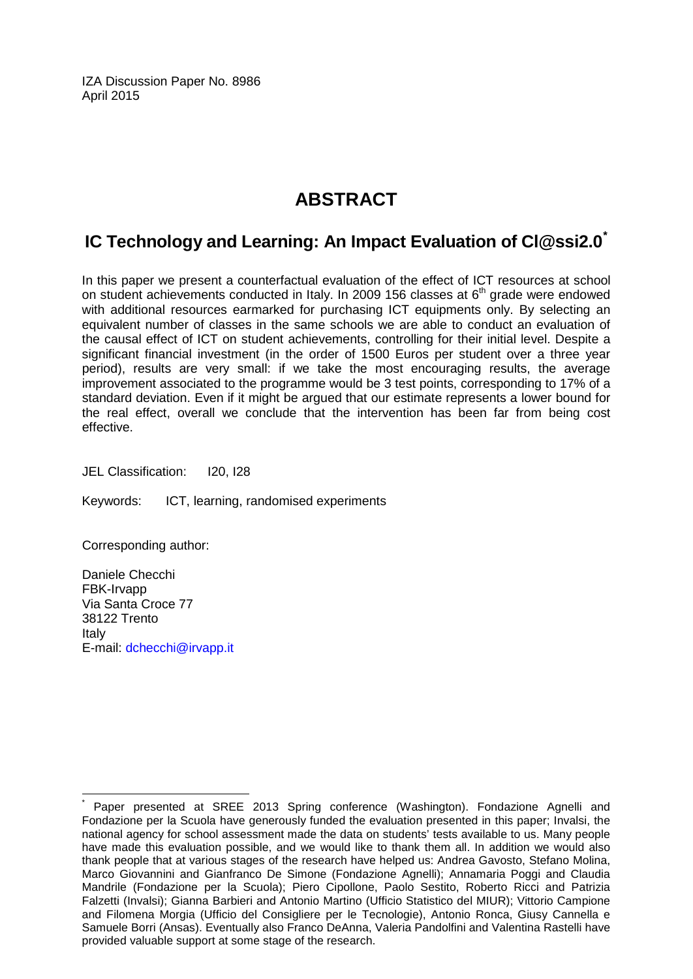IZA Discussion Paper No. 8986 April 2015

# **ABSTRACT**

# **IC Technology and Learning: An Impact Evaluation of Cl@ssi2.0[\\*](#page-1-0)**

In this paper we present a counterfactual evaluation of the effect of ICT resources at school on student achievements conducted in Italy. In 2009 156 classes at  $6<sup>th</sup>$  grade were endowed with additional resources earmarked for purchasing ICT equipments only. By selecting an equivalent number of classes in the same schools we are able to conduct an evaluation of the causal effect of ICT on student achievements, controlling for their initial level. Despite a significant financial investment (in the order of 1500 Euros per student over a three year period), results are very small: if we take the most encouraging results, the average improvement associated to the programme would be 3 test points, corresponding to 17% of a standard deviation. Even if it might be argued that our estimate represents a lower bound for the real effect, overall we conclude that the intervention has been far from being cost effective.

JEL Classification: I20, I28

Keywords: ICT, learning, randomised experiments

Corresponding author:

Daniele Checchi FBK-Irvapp Via Santa Croce 77 38122 Trento Italy E-mail: [dchecchi@irvapp.it](mailto:dchecchi@irvapp.it)

Paper presented at SREE 2013 Spring conference (Washington). Fondazione Agnelli and Fondazione per la Scuola have generously funded the evaluation presented in this paper; Invalsi, the national agency for school assessment made the data on students' tests available to us. Many people have made this evaluation possible, and we would like to thank them all. In addition we would also thank people that at various stages of the research have helped us: Andrea Gavosto, Stefano Molina, Marco Giovannini and Gianfranco De Simone (Fondazione Agnelli); Annamaria Poggi and Claudia Mandrile (Fondazione per la Scuola); Piero Cipollone, Paolo Sestito, Roberto Ricci and Patrizia Falzetti (Invalsi); Gianna Barbieri and Antonio Martino (Ufficio Statistico del MIUR); Vittorio Campione and Filomena Morgia (Ufficio del Consigliere per le Tecnologie), Antonio Ronca, Giusy Cannella e Samuele Borri (Ansas). Eventually also Franco DeAnna, Valeria Pandolfini and Valentina Rastelli have provided valuable support at some stage of the research.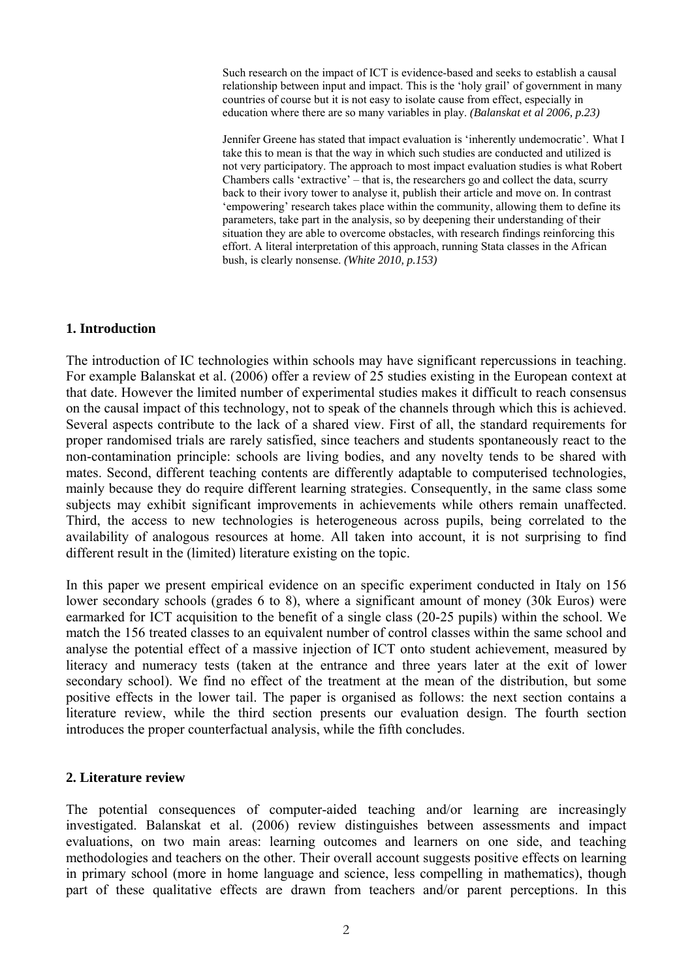Such research on the impact of ICT is evidence-based and seeks to establish a causal relationship between input and impact. This is the 'holy grail' of government in many countries of course but it is not easy to isolate cause from effect, especially in education where there are so many variables in play. *(Balanskat et al 2006, p.23)* 

Jennifer Greene has stated that impact evaluation is 'inherently undemocratic'. What I take this to mean is that the way in which such studies are conducted and utilized is not very participatory. The approach to most impact evaluation studies is what Robert Chambers calls 'extractive' – that is, the researchers go and collect the data, scurry back to their ivory tower to analyse it, publish their article and move on. In contrast 'empowering' research takes place within the community, allowing them to define its parameters, take part in the analysis, so by deepening their understanding of their situation they are able to overcome obstacles, with research findings reinforcing this effort. A literal interpretation of this approach, running Stata classes in the African bush, is clearly nonsense. *(White 2010, p.153)*

#### **1. Introduction**

The introduction of IC technologies within schools may have significant repercussions in teaching. For example Balanskat et al. (2006) offer a review of 25 studies existing in the European context at that date. However the limited number of experimental studies makes it difficult to reach consensus on the causal impact of this technology, not to speak of the channels through which this is achieved. Several aspects contribute to the lack of a shared view. First of all, the standard requirements for proper randomised trials are rarely satisfied, since teachers and students spontaneously react to the non-contamination principle: schools are living bodies, and any novelty tends to be shared with mates. Second, different teaching contents are differently adaptable to computerised technologies, mainly because they do require different learning strategies. Consequently, in the same class some subjects may exhibit significant improvements in achievements while others remain unaffected. Third, the access to new technologies is heterogeneous across pupils, being correlated to the availability of analogous resources at home. All taken into account, it is not surprising to find different result in the (limited) literature existing on the topic.

In this paper we present empirical evidence on an specific experiment conducted in Italy on 156 lower secondary schools (grades 6 to 8), where a significant amount of money (30k Euros) were earmarked for ICT acquisition to the benefit of a single class (20-25 pupils) within the school. We match the 156 treated classes to an equivalent number of control classes within the same school and analyse the potential effect of a massive injection of ICT onto student achievement, measured by literacy and numeracy tests (taken at the entrance and three years later at the exit of lower secondary school). We find no effect of the treatment at the mean of the distribution, but some positive effects in the lower tail. The paper is organised as follows: the next section contains a literature review, while the third section presents our evaluation design. The fourth section introduces the proper counterfactual analysis, while the fifth concludes.

#### **2. Literature review**

The potential consequences of computer-aided teaching and/or learning are increasingly investigated. Balanskat et al. (2006) review distinguishes between assessments and impact evaluations, on two main areas: learning outcomes and learners on one side, and teaching methodologies and teachers on the other. Their overall account suggests positive effects on learning in primary school (more in home language and science, less compelling in mathematics), though part of these qualitative effects are drawn from teachers and/or parent perceptions. In this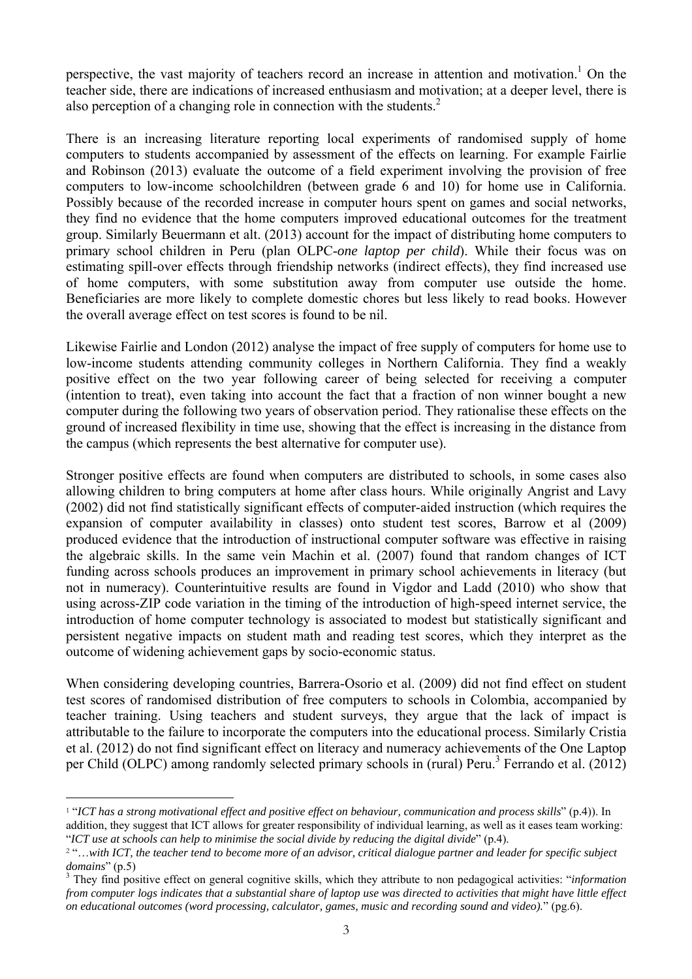perspective, the vast majority of teachers record an increase in attention and motivation.<sup>1</sup> On the teacher side, there are indications of increased enthusiasm and motivation; at a deeper level, there is also perception of a changing role in connection with the students. $<sup>2</sup>$ </sup>

There is an increasing literature reporting local experiments of randomised supply of home computers to students accompanied by assessment of the effects on learning. For example Fairlie and Robinson (2013) evaluate the outcome of a field experiment involving the provision of free computers to low-income schoolchildren (between grade 6 and 10) for home use in California. Possibly because of the recorded increase in computer hours spent on games and social networks, they find no evidence that the home computers improved educational outcomes for the treatment group. Similarly Beuermann et alt. (2013) account for the impact of distributing home computers to primary school children in Peru (plan OLPC-*one laptop per child*). While their focus was on estimating spill-over effects through friendship networks (indirect effects), they find increased use of home computers, with some substitution away from computer use outside the home. Beneficiaries are more likely to complete domestic chores but less likely to read books. However the overall average effect on test scores is found to be nil.

Likewise Fairlie and London (2012) analyse the impact of free supply of computers for home use to low-income students attending community colleges in Northern California. They find a weakly positive effect on the two year following career of being selected for receiving a computer (intention to treat), even taking into account the fact that a fraction of non winner bought a new computer during the following two years of observation period. They rationalise these effects on the ground of increased flexibility in time use, showing that the effect is increasing in the distance from the campus (which represents the best alternative for computer use).

Stronger positive effects are found when computers are distributed to schools, in some cases also allowing children to bring computers at home after class hours. While originally Angrist and Lavy (2002) did not find statistically significant effects of computer-aided instruction (which requires the expansion of computer availability in classes) onto student test scores, Barrow et al (2009) produced evidence that the introduction of instructional computer software was effective in raising the algebraic skills. In the same vein Machin et al. (2007) found that random changes of ICT funding across schools produces an improvement in primary school achievements in literacy (but not in numeracy). Counterintuitive results are found in Vigdor and Ladd (2010) who show that using across-ZIP code variation in the timing of the introduction of high-speed internet service, the introduction of home computer technology is associated to modest but statistically significant and persistent negative impacts on student math and reading test scores, which they interpret as the outcome of widening achievement gaps by socio-economic status.

When considering developing countries, Barrera-Osorio et al. (2009) did not find effect on student test scores of randomised distribution of free computers to schools in Colombia, accompanied by teacher training. Using teachers and student surveys, they argue that the lack of impact is attributable to the failure to incorporate the computers into the educational process. Similarly Cristia et al. (2012) do not find significant effect on literacy and numeracy achievements of the One Laptop per Child (OLPC) among randomly selected primary schools in (rural) Peru.<sup>3</sup> Ferrando et al. (2012)

 $\overline{a}$ 

<sup>1</sup> "*ICT has a strong motivational effect and positive effect on behaviour, communication and process skills*" (p.4)). In addition, they suggest that ICT allows for greater responsibility of individual learning, as well as it eases team working: "*ICT use at schools can help to minimise the social divide by reducing the digital divide*" (p.4).

<sup>2</sup> "…*with ICT, the teacher tend to become more of an advisor, critical dialogue partner and leader for specific subject domains*" (p.5)

They find positive effect on general cognitive skills, which they attribute to non pedagogical activities: "*information from computer logs indicates that a substantial share of laptop use was directed to activities that might have little effect on educational outcomes (word processing, calculator, games, music and recording sound and video).*" (pg.6).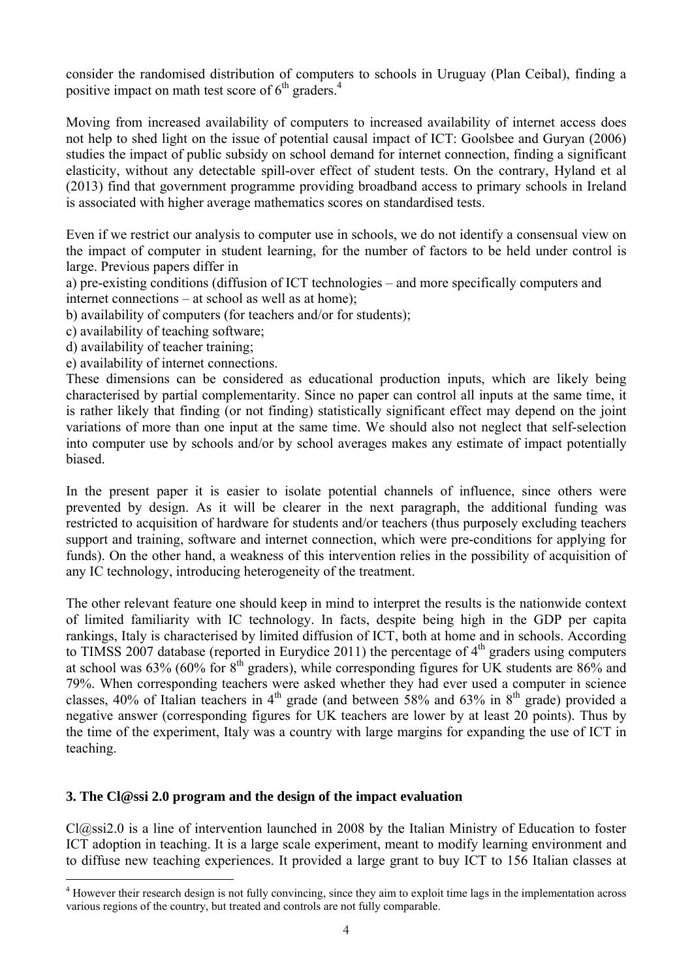consider the randomised distribution of computers to schools in Uruguay (Plan Ceibal), finding a positive impact on math test score of  $6<sup>th</sup>$  graders.<sup>4</sup>

Moving from increased availability of computers to increased availability of internet access does not help to shed light on the issue of potential causal impact of ICT: Goolsbee and Guryan (2006) studies the impact of public subsidy on school demand for internet connection, finding a significant elasticity, without any detectable spill-over effect of student tests. On the contrary, Hyland et al (2013) find that government programme providing broadband access to primary schools in Ireland is associated with higher average mathematics scores on standardised tests.

Even if we restrict our analysis to computer use in schools, we do not identify a consensual view on the impact of computer in student learning, for the number of factors to be held under control is large. Previous papers differ in

a) pre-existing conditions (diffusion of ICT technologies – and more specifically computers and internet connections – at school as well as at home);

b) availability of computers (for teachers and/or for students);

c) availability of teaching software;

- d) availability of teacher training;
- e) availability of internet connections.

These dimensions can be considered as educational production inputs, which are likely being characterised by partial complementarity. Since no paper can control all inputs at the same time, it is rather likely that finding (or not finding) statistically significant effect may depend on the joint variations of more than one input at the same time. We should also not neglect that self-selection into computer use by schools and/or by school averages makes any estimate of impact potentially biased.

In the present paper it is easier to isolate potential channels of influence, since others were prevented by design. As it will be clearer in the next paragraph, the additional funding was restricted to acquisition of hardware for students and/or teachers (thus purposely excluding teachers support and training, software and internet connection, which were pre-conditions for applying for funds). On the other hand, a weakness of this intervention relies in the possibility of acquisition of any IC technology, introducing heterogeneity of the treatment.

The other relevant feature one should keep in mind to interpret the results is the nationwide context of limited familiarity with IC technology. In facts, despite being high in the GDP per capita rankings, Italy is characterised by limited diffusion of ICT, both at home and in schools. According to TIMSS 2007 database (reported in Eurydice 2011) the percentage of  $4<sup>th</sup>$  graders using computers at school was  $63\%$  (60% for  $8<sup>th</sup>$  graders), while corresponding figures for UK students are  $86\%$  and 79%. When corresponding teachers were asked whether they had ever used a computer in science classes, 40% of Italian teachers in 4<sup>th</sup> grade (and between 58% and 63% in 8<sup>th</sup> grade) provided a negative answer (corresponding figures for UK teachers are lower by at least 20 points). Thus by the time of the experiment, Italy was a country with large margins for expanding the use of ICT in teaching.

#### **3. The Cl@ssi 2.0 program and the design of the impact evaluation**

Cl@ssi2.0 is a line of intervention launched in 2008 by the Italian Ministry of Education to foster ICT adoption in teaching. It is a large scale experiment, meant to modify learning environment and to diffuse new teaching experiences. It provided a large grant to buy ICT to 156 Italian classes at

 4 However their research design is not fully convincing, since they aim to exploit time lags in the implementation across various regions of the country, but treated and controls are not fully comparable.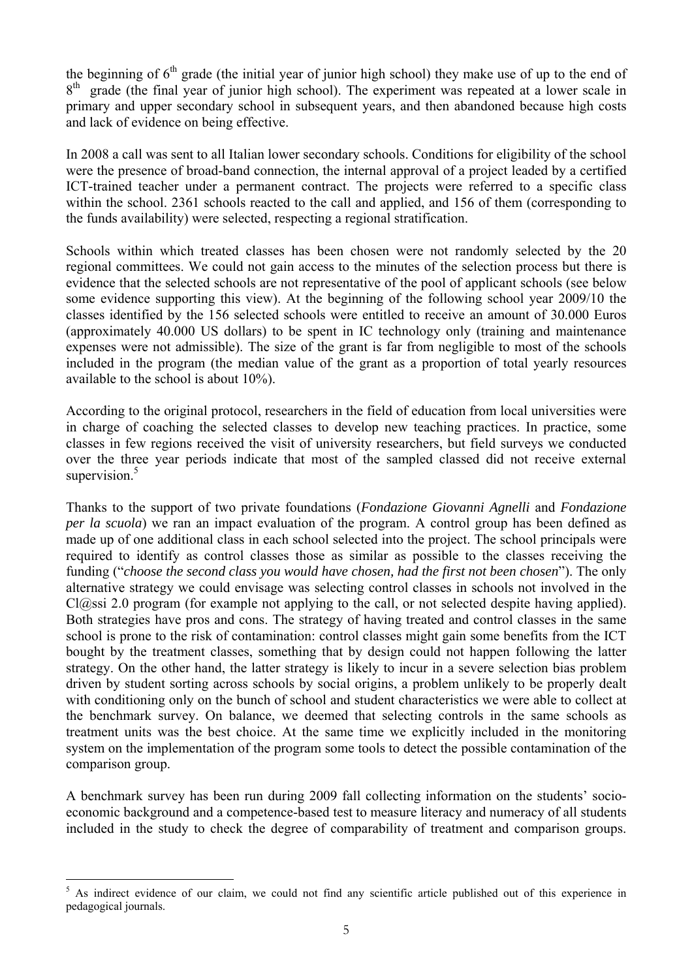the beginning of  $6<sup>th</sup>$  grade (the initial year of junior high school) they make use of up to the end of 8<sup>th</sup> grade (the final year of junior high school). The experiment was repeated at a lower scale in primary and upper secondary school in subsequent years, and then abandoned because high costs and lack of evidence on being effective.

In 2008 a call was sent to all Italian lower secondary schools. Conditions for eligibility of the school were the presence of broad-band connection, the internal approval of a project leaded by a certified ICT-trained teacher under a permanent contract. The projects were referred to a specific class within the school. 2361 schools reacted to the call and applied, and 156 of them (corresponding to the funds availability) were selected, respecting a regional stratification.

Schools within which treated classes has been chosen were not randomly selected by the 20 regional committees. We could not gain access to the minutes of the selection process but there is evidence that the selected schools are not representative of the pool of applicant schools (see below some evidence supporting this view). At the beginning of the following school year 2009/10 the classes identified by the 156 selected schools were entitled to receive an amount of 30.000 Euros (approximately 40.000 US dollars) to be spent in IC technology only (training and maintenance expenses were not admissible). The size of the grant is far from negligible to most of the schools included in the program (the median value of the grant as a proportion of total yearly resources available to the school is about 10%).

According to the original protocol, researchers in the field of education from local universities were in charge of coaching the selected classes to develop new teaching practices. In practice, some classes in few regions received the visit of university researchers, but field surveys we conducted over the three year periods indicate that most of the sampled classed did not receive external supervision.<sup>5</sup>

Thanks to the support of two private foundations (*Fondazione Giovanni Agnelli* and *Fondazione per la scuola*) we ran an impact evaluation of the program. A control group has been defined as made up of one additional class in each school selected into the project. The school principals were required to identify as control classes those as similar as possible to the classes receiving the funding ("*choose the second class you would have chosen, had the first not been chosen*"). The only alternative strategy we could envisage was selecting control classes in schools not involved in the Cl@ssi 2.0 program (for example not applying to the call, or not selected despite having applied). Both strategies have pros and cons. The strategy of having treated and control classes in the same school is prone to the risk of contamination: control classes might gain some benefits from the ICT bought by the treatment classes, something that by design could not happen following the latter strategy. On the other hand, the latter strategy is likely to incur in a severe selection bias problem driven by student sorting across schools by social origins, a problem unlikely to be properly dealt with conditioning only on the bunch of school and student characteristics we were able to collect at the benchmark survey. On balance, we deemed that selecting controls in the same schools as treatment units was the best choice. At the same time we explicitly included in the monitoring system on the implementation of the program some tools to detect the possible contamination of the comparison group.

A benchmark survey has been run during 2009 fall collecting information on the students' socioeconomic background and a competence-based test to measure literacy and numeracy of all students included in the study to check the degree of comparability of treatment and comparison groups.

 $\overline{a}$ 

<sup>5</sup> As indirect evidence of our claim, we could not find any scientific article published out of this experience in pedagogical journals.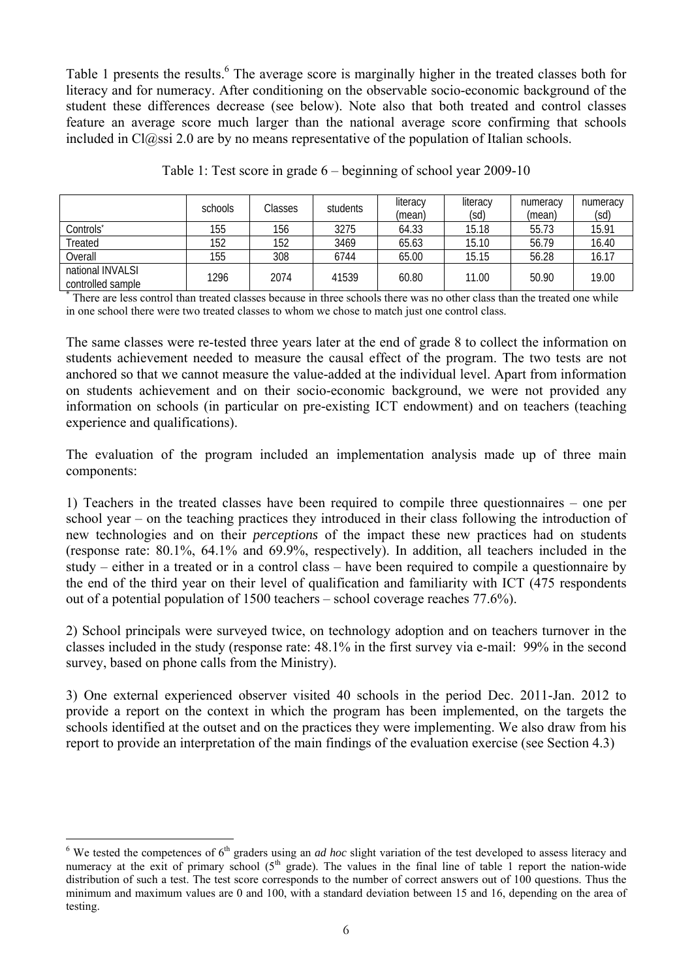Table 1 presents the results.<sup>6</sup> The average score is marginally higher in the treated classes both for literacy and for numeracy. After conditioning on the observable socio-economic background of the student these differences decrease (see below). Note also that both treated and control classes feature an average score much larger than the national average score confirming that schools included in  $Cl@ssi 2.0$  are by no means representative of the population of Italian schools.

|                                       | schools | Classes | students | literacy<br>(mean) | literacy<br>(sd) | numeracy<br>(mean) | numeracy<br>(sd) |
|---------------------------------------|---------|---------|----------|--------------------|------------------|--------------------|------------------|
| Controls <sup>*</sup>                 | 155     | 156     | 3275     | 64.33              | 15.18            | 55.73              | 15.91            |
| Treated                               | 152     | 152     | 3469     | 65.63              | 15.10            | 56.79              | 16.40            |
| Overall                               | 155     | 308     | 6744     | 65.00              | 15.15            | 56.28              | 16.17            |
| national INVALSI<br>controlled sample | 1296    | 2074    | 41539    | 60.80              | 11.00            | 50.90              | 19.00            |

|  |  |  |  |  | Table 1: Test score in grade 6 – beginning of school year 2009-10 |
|--|--|--|--|--|-------------------------------------------------------------------|
|  |  |  |  |  |                                                                   |
|  |  |  |  |  |                                                                   |

\* There are less control than treated classes because in three schools there was no other class than the treated one while in one school there were two treated classes to whom we chose to match just one control class.

The same classes were re-tested three years later at the end of grade 8 to collect the information on students achievement needed to measure the causal effect of the program. The two tests are not anchored so that we cannot measure the value-added at the individual level. Apart from information on students achievement and on their socio-economic background, we were not provided any information on schools (in particular on pre-existing ICT endowment) and on teachers (teaching experience and qualifications).

The evaluation of the program included an implementation analysis made up of three main components:

1) Teachers in the treated classes have been required to compile three questionnaires – one per school year – on the teaching practices they introduced in their class following the introduction of new technologies and on their *perceptions* of the impact these new practices had on students (response rate: 80.1%, 64.1% and 69.9%, respectively). In addition, all teachers included in the study – either in a treated or in a control class – have been required to compile a questionnaire by the end of the third year on their level of qualification and familiarity with ICT (475 respondents out of a potential population of 1500 teachers – school coverage reaches 77.6%).

2) School principals were surveyed twice, on technology adoption and on teachers turnover in the classes included in the study (response rate: 48.1% in the first survey via e-mail: 99% in the second survey, based on phone calls from the Ministry).

3) One external experienced observer visited 40 schools in the period Dec. 2011-Jan. 2012 to provide a report on the context in which the program has been implemented, on the targets the schools identified at the outset and on the practices they were implementing. We also draw from his report to provide an interpretation of the main findings of the evaluation exercise (see Section 4.3)

 $\frac{6}{6}$  We tested the competences of  $6<sup>th</sup>$  graders using an *ad hoc* slight variation of the test developed to assess literacy and numeracy at the exit of primary school  $(5<sup>th</sup> grade)$ . The values in the final line of table 1 report the nation-wide distribution of such a test. The test score corresponds to the number of correct answers out of 100 questions. Thus the minimum and maximum values are 0 and 100, with a standard deviation between 15 and 16, depending on the area of testing.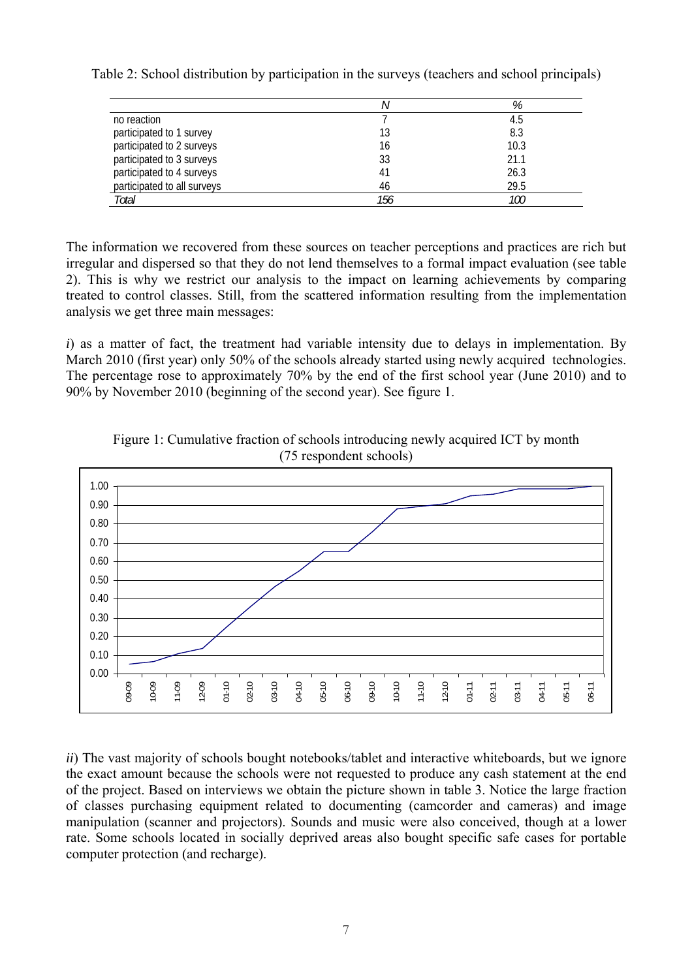|                             |     | %    |
|-----------------------------|-----|------|
| no reaction                 |     | 4.5  |
| participated to 1 survey    |     | 8.3  |
| participated to 2 surveys   | 16  | 10.3 |
| participated to 3 surveys   | 33  | 21.1 |
| participated to 4 surveys   | 41  | 26.3 |
| participated to all surveys | 46  | 29.5 |
| Total                       | 156 | 100  |

Table 2: School distribution by participation in the surveys (teachers and school principals)

The information we recovered from these sources on teacher perceptions and practices are rich but irregular and dispersed so that they do not lend themselves to a formal impact evaluation (see table 2). This is why we restrict our analysis to the impact on learning achievements by comparing treated to control classes. Still, from the scattered information resulting from the implementation analysis we get three main messages:

*i*) as a matter of fact, the treatment had variable intensity due to delays in implementation. By March 2010 (first year) only 50% of the schools already started using newly acquired technologies. The percentage rose to approximately 70% by the end of the first school year (June 2010) and to 90% by November 2010 (beginning of the second year). See figure 1.



Figure 1: Cumulative fraction of schools introducing newly acquired ICT by month (75 respondent schools)

*ii*) The vast majority of schools bought notebooks/tablet and interactive whiteboards, but we ignore the exact amount because the schools were not requested to produce any cash statement at the end of the project. Based on interviews we obtain the picture shown in table 3. Notice the large fraction of classes purchasing equipment related to documenting (camcorder and cameras) and image manipulation (scanner and projectors). Sounds and music were also conceived, though at a lower rate. Some schools located in socially deprived areas also bought specific safe cases for portable computer protection (and recharge).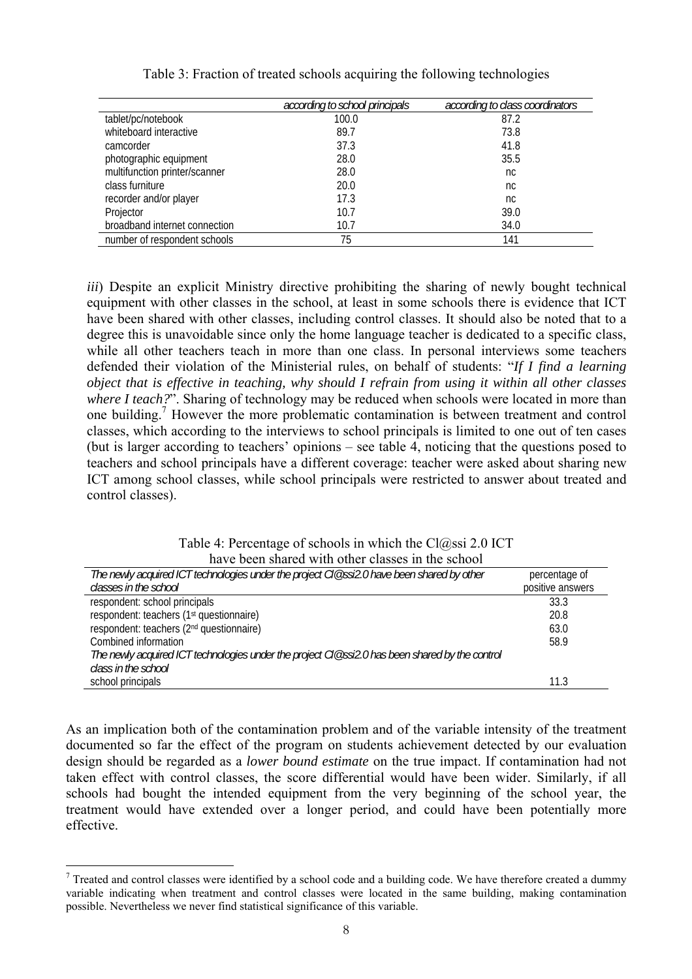|                               | according to school principals | according to class coordinators |
|-------------------------------|--------------------------------|---------------------------------|
| tablet/pc/notebook            | 100.0                          | 87.2                            |
| whiteboard interactive        | 89.7                           | 73.8                            |
| camcorder                     | 37.3                           | 41.8                            |
| photographic equipment        | 28.0                           | 35.5                            |
| multifunction printer/scanner | 28.0                           | nc                              |
| class furniture               | 20.0                           | nc.                             |
| recorder and/or player        | 17.3                           | nc.                             |
| Projector                     | 10.7                           | 39.0                            |
| broadband internet connection | 10.7                           | 34.0                            |
| number of respondent schools  | 75                             | 141                             |

#### Table 3: Fraction of treated schools acquiring the following technologies

*iii*) Despite an explicit Ministry directive prohibiting the sharing of newly bought technical equipment with other classes in the school, at least in some schools there is evidence that ICT have been shared with other classes, including control classes. It should also be noted that to a degree this is unavoidable since only the home language teacher is dedicated to a specific class, while all other teachers teach in more than one class. In personal interviews some teachers defended their violation of the Ministerial rules, on behalf of students: "*If I find a learning object that is effective in teaching, why should I refrain from using it within all other classes where I teach?*". Sharing of technology may be reduced when schools were located in more than one building.<sup>7</sup> However the more problematic contamination is between treatment and control classes, which according to the interviews to school principals is limited to one out of ten cases (but is larger according to teachers' opinions – see table 4, noticing that the questions posed to teachers and school principals have a different coverage: teacher were asked about sharing new ICT among school classes, while school principals were restricted to answer about treated and control classes).

| Table 4: Percentage of schools in which the $Cl(\hat{\omega}_{0.0005} \approx 2.01 \text{C} \cdot \text{T})$ |
|--------------------------------------------------------------------------------------------------------------|
| have been shared with other classes in the school                                                            |

| nave occh shared with other classes in the senoor                                              |                  |  |  |  |  |  |  |
|------------------------------------------------------------------------------------------------|------------------|--|--|--|--|--|--|
| The newly acquired ICT technologies under the project Cl@ssi2.0 have been shared by other      | percentage of    |  |  |  |  |  |  |
| classes in the school                                                                          | positive answers |  |  |  |  |  |  |
| respondent: school principals                                                                  | 33.3             |  |  |  |  |  |  |
| respondent: teachers (1 <sup>st</sup> questionnaire)                                           | 20.8             |  |  |  |  |  |  |
| respondent: teachers (2 <sup>nd</sup> questionnaire)                                           | 63.0             |  |  |  |  |  |  |
| Combined information                                                                           | 58.9             |  |  |  |  |  |  |
| The newly acquired ICT technologies under the project Cl@ssi2.0 has been shared by the control |                  |  |  |  |  |  |  |
| class in the school                                                                            |                  |  |  |  |  |  |  |
| school principals                                                                              | 11.3             |  |  |  |  |  |  |

As an implication both of the contamination problem and of the variable intensity of the treatment documented so far the effect of the program on students achievement detected by our evaluation design should be regarded as a *lower bound estimate* on the true impact. If contamination had not taken effect with control classes, the score differential would have been wider. Similarly, if all schools had bought the intended equipment from the very beginning of the school year, the treatment would have extended over a longer period, and could have been potentially more effective.

<sup>&</sup>lt;sup>7</sup> Treated and control classes were identified by a school code and a building code. We have therefore created a dummy variable indicating when treatment and control classes were located in the same building, making contamination possible. Nevertheless we never find statistical significance of this variable.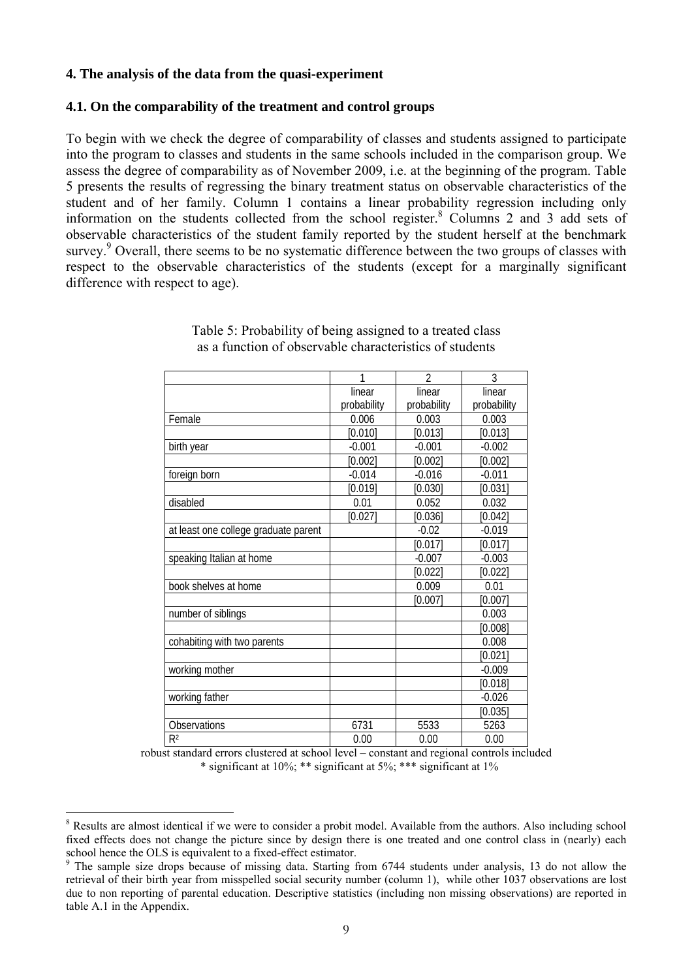#### **4. The analysis of the data from the quasi-experiment**

#### **4.1. On the comparability of the treatment and control groups**

To begin with we check the degree of comparability of classes and students assigned to participate into the program to classes and students in the same schools included in the comparison group. We assess the degree of comparability as of November 2009, i.e. at the beginning of the program. Table 5 presents the results of regressing the binary treatment status on observable characteristics of the student and of her family. Column 1 contains a linear probability regression including only information on the students collected from the school register.<sup>8</sup> Columns 2 and 3 add sets of observable characteristics of the student family reported by the student herself at the benchmark survey.<sup>9</sup> Overall, there seems to be no systematic difference between the two groups of classes with respect to the observable characteristics of the students (except for a marginally significant difference with respect to age).

|                                      | 1           | $\mathfrak{D}$ | 3           |
|--------------------------------------|-------------|----------------|-------------|
|                                      | linear      | linear         | linear      |
|                                      | probability | probability    | probability |
| Female                               | 0.006       | 0.003          | 0.003       |
|                                      | [0.010]     | [0.013]        | [0.013]     |
| birth year                           | $-0.001$    | $-0.001$       | $-0.002$    |
|                                      | [0.002]     | [0.002]        | [0.002]     |
| foreign born                         | $-0.014$    | $-0.016$       | $-0.011$    |
|                                      | [0.019]     | [0.030]        | [0.031]     |
| disabled                             | 0.01        | 0.052          | 0.032       |
|                                      | [0.027]     | [0.036]        | [0.042]     |
| at least one college graduate parent |             | $-0.02$        | $-0.019$    |
|                                      |             | [0.017]        | [0.017]     |
| speaking Italian at home             |             | $-0.007$       | $-0.003$    |
|                                      |             | [0.022]        | [0.022]     |
| book shelves at home                 |             | 0.009          | 0.01        |
|                                      |             | [0.007]        | [0.007]     |
| number of siblings                   |             |                | 0.003       |
|                                      |             |                | [0.008]     |
| cohabiting with two parents          |             |                | 0.008       |
|                                      |             |                | [0.021]     |
| working mother                       |             |                | $-0.009$    |
|                                      |             |                | [0.018]     |
| working father                       |             |                | $-0.026$    |
|                                      |             |                | [0.035]     |
| Observations                         | 6731        | 5533           | 5263        |
| R <sup>2</sup>                       | 0.00        | 0.00           | 0.00        |

Table 5: Probability of being assigned to a treated class as a function of observable characteristics of students

robust standard errors clustered at school level – constant and regional controls included \* significant at  $10\%$ ; \*\* significant at  $5\%$ ; \*\*\* significant at  $1\%$ 

 $\overline{a}$ 

<sup>&</sup>lt;sup>8</sup> Results are almost identical if we were to consider a probit model. Available from the authors. Also including school fixed effects does not change the picture since by design there is one treated and one control class in (nearly) each school hence the OLS is equivalent to a fixed-effect estimator.

<sup>&</sup>lt;sup>9</sup> The sample size drops because of missing data. Starting from 6744 students under analysis, 13 do not allow the retrieval of their birth year from misspelled social security number (column 1), while other 1037 observations are lost due to non reporting of parental education. Descriptive statistics (including non missing observations) are reported in table A.1 in the Appendix.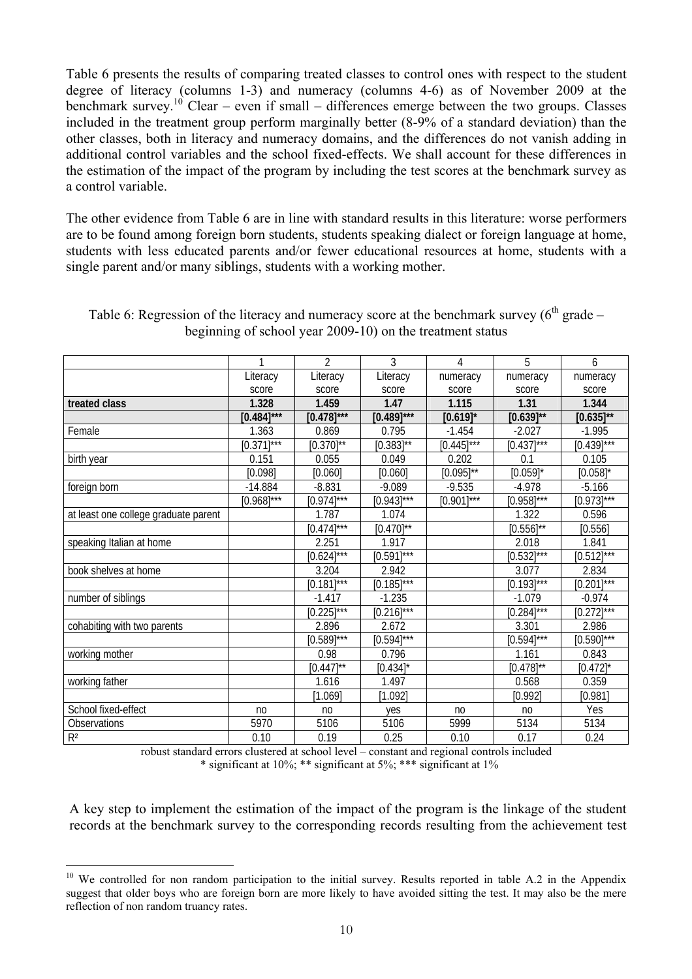Table 6 presents the results of comparing treated classes to control ones with respect to the student degree of literacy (columns 1-3) and numeracy (columns 4-6) as of November 2009 at the benchmark survey.<sup>10</sup> Clear – even if small – differences emerge between the two groups. Classes included in the treatment group perform marginally better (8-9% of a standard deviation) than the other classes, both in literacy and numeracy domains, and the differences do not vanish adding in additional control variables and the school fixed-effects. We shall account for these differences in the estimation of the impact of the program by including the test scores at the benchmark survey as a control variable.

The other evidence from Table 6 are in line with standard results in this literature: worse performers are to be found among foreign born students, students speaking dialect or foreign language at home, students with less educated parents and/or fewer educational resources at home, students with a single parent and/or many siblings, students with a working mother.

|                                      | 1              | $\overline{2}$  | 3               | 4              | 5              | 6               |
|--------------------------------------|----------------|-----------------|-----------------|----------------|----------------|-----------------|
|                                      | Literacy       | Literacy        | Literacy        | numeracy       | numeracy       | numeracy        |
|                                      | score          | score           | score           | score          | score          | score           |
| treated class                        | 1.328          | 1.459           | 1.47            | 1.115          | 1.31           | 1.344           |
|                                      | $[0.484]$ ***  | $[0.478]$ ***   | $[0.489]$ ***   | $[0.619]$ *    | $[0.639]^{**}$ | $[0.635]^{**}$  |
| Female                               | 1.363          | 0.869           | 0.795           | $-1.454$       | $-2.027$       | $-1.995$        |
|                                      | $[0.371]$ ***  | $[0.370]^{**}$  | $[0.383]^{**}$  | $[0.445]$ ***  | $[0.437]$ ***  | $[0.439]$ ***   |
| birth year                           | 0.151          | 0.055           | 0.049           | 0.202          | 0.1            | 0.105           |
|                                      | [0.098]        | [0.060]         | [0.060]         | $[0.095]^{**}$ | $[0.059]$ *    | $[0.058]$ *     |
| foreign born                         | $-14.884$      | $-8.831$        | $-9.089$        | $-9.535$       | $-4.978$       | $-5.166$        |
|                                      | $[0.968]$ ***  | $[0.974]***$    | $[0.943]$ ***   | $[0.901]$ ***  | $[0.958]$ ***  | $[0.973]***$    |
| at least one college graduate parent |                | 1.787           | 1.074           |                | 1.322          | 0.596           |
|                                      |                | $[0.474]$ ***   | $[0.470]^{**}$  |                | $[0.556]^{**}$ | [0.556]         |
| speaking Italian at home             |                | 2.251           | 1.917           |                | 2.018          | 1.841           |
|                                      |                | $[0.624]^{***}$ | $[0.591]$ ***   |                | $[0.532]$ ***  | $[0.512]$ ***   |
| book shelves at home                 |                | 3.204           | 2.942           |                | 3.077          | 2.834           |
|                                      |                | $[0.181]$ ***   | $[0.185]^{***}$ |                | $[0.193]$ ***  | $[0.201]$ ***   |
| number of siblings                   |                | $-1.417$        | $-1.235$        |                | $-1.079$       | $-0.974$        |
|                                      |                | $[0.225]^{***}$ | $[0.216]$ ***   |                | $[0.284]$ ***  | $[0.272]^{***}$ |
| cohabiting with two parents          |                | 2.896           | 2.672           |                | 3.301          | 2.986           |
|                                      |                | $[0.589]^{***}$ | $[0.594]$ ***   |                | $[0.594]$ ***  | $[0.590]$ ***   |
| working mother                       |                | 0.98            | 0.796           |                | 1.161          | 0.843           |
|                                      |                | $[0.447]^{**}$  | $[0.434]$ *     |                | $[0.478]^{**}$ | $[0.472]$ *     |
| working father                       |                | 1.616           | 1.497           |                | 0.568          | 0.359           |
|                                      |                | [1.069]         | [1.092]         |                | [0.992]        | [0.981]         |
| School fixed-effect                  | n <sub>0</sub> | n <sub>0</sub>  | yes             | n <sub>0</sub> | n <sub>0</sub> | Yes             |
| Observations                         | 5970           | 5106            | 5106            | 5999           | 5134           | 5134            |
| $R^2$                                | 0.10           | 0.19            | 0.25            | 0.10           | 0.17           | 0.24            |

Table 6: Regression of the literacy and numeracy score at the benchmark survey  $(6<sup>th</sup>$  grade – beginning of school year 2009-10) on the treatment status

> robust standard errors clustered at school level – constant and regional controls included \* significant at 10%; \*\* significant at 5%; \*\*\* significant at 1%

A key step to implement the estimation of the impact of the program is the linkage of the student records at the benchmark survey to the corresponding records resulting from the achievement test

 $\overline{a}$ 

<sup>&</sup>lt;sup>10</sup> We controlled for non random participation to the initial survey. Results reported in table A.2 in the Appendix suggest that older boys who are foreign born are more likely to have avoided sitting the test. It may also be the mere reflection of non random truancy rates.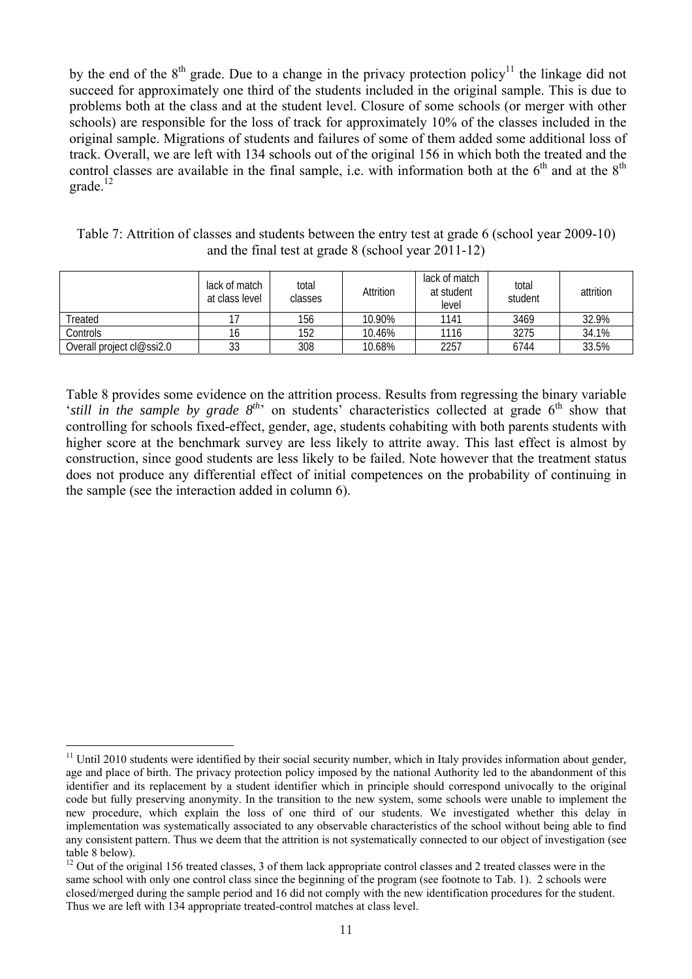by the end of the  $8<sup>th</sup>$  grade. Due to a change in the privacy protection policy<sup>11</sup> the linkage did not succeed for approximately one third of the students included in the original sample. This is due to problems both at the class and at the student level. Closure of some schools (or merger with other schools) are responsible for the loss of track for approximately 10% of the classes included in the original sample. Migrations of students and failures of some of them added some additional loss of track. Overall, we are left with 134 schools out of the original 156 in which both the treated and the control classes are available in the final sample, i.e. with information both at the  $6<sup>th</sup>$  and at the  $8<sup>th</sup>$  $q = 12$ 

|                                   | total<br>lack of match<br>at class level<br>classes |     | Attrition | lack of match<br>at student<br>level | total<br>student | attrition |
|-----------------------------------|-----------------------------------------------------|-----|-----------|--------------------------------------|------------------|-----------|
| Treated                           |                                                     | 156 | 10.90%    | 1141                                 | 3469             | 32.9%     |
| Controls                          | 16                                                  | 152 | 10.46%    | 1116                                 | 3275             | 34.1%     |
| Overall project $c \sim s$ ssi2.0 | 33                                                  | 308 | 10.68%    | 2257                                 | 6744             | 33.5%     |

Table 7: Attrition of classes and students between the entry test at grade 6 (school year 2009-10) and the final test at grade 8 (school year 2011-12)

Table 8 provides some evidence on the attrition process. Results from regressing the binary variable 'still in the sample by grade 8<sup>th,</sup> on students' characteristics collected at grade 6<sup>th</sup> show that controlling for schools fixed-effect, gender, age, students cohabiting with both parents students with higher score at the benchmark survey are less likely to attrite away. This last effect is almost by construction, since good students are less likely to be failed. Note however that the treatment status does not produce any differential effect of initial competences on the probability of continuing in the sample (see the interaction added in column 6).

 $\overline{a}$  $11$  Until 2010 students were identified by their social security number, which in Italy provides information about gender, age and place of birth. The privacy protection policy imposed by the national Authority led to the abandonment of this identifier and its replacement by a student identifier which in principle should correspond univocally to the original code but fully preserving anonymity. In the transition to the new system, some schools were unable to implement the new procedure, which explain the loss of one third of our students. We investigated whether this delay in implementation was systematically associated to any observable characteristics of the school without being able to find any consistent pattern. Thus we deem that the attrition is not systematically connected to our object of investigation (see table 8 below).

 $12$  Out of the original 156 treated classes, 3 of them lack appropriate control classes and 2 treated classes were in the same school with only one control class since the beginning of the program (see footnote to Tab. 1). 2 schools were closed/merged during the sample period and 16 did not comply with the new identification procedures for the student. Thus we are left with 134 appropriate treated-control matches at class level.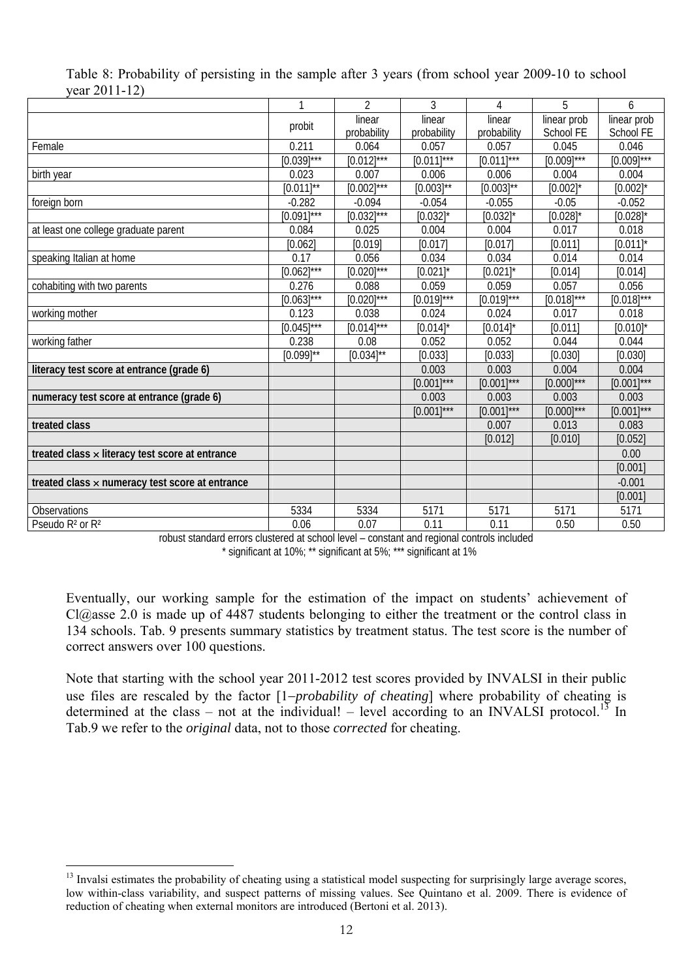|                                                 | 1               | $\overline{2}$  | 3              | 4               | 5               | 6               |
|-------------------------------------------------|-----------------|-----------------|----------------|-----------------|-----------------|-----------------|
|                                                 | probit          | linear          | linear         | linear          | linear prob     | linear prob     |
|                                                 |                 | probability     | probability    | probability     | School FE       | School FE       |
| Female                                          | 0.211           | 0.064           | 0.057          | 0.057           | 0.045           | 0.046           |
|                                                 | $[0.039]$ ***   | $[0.012]^{***}$ | $[0.011]$ ***  | $[0.011]$ ***   | $[0.009]^{***}$ | $[0.009]^{***}$ |
| birth year                                      | 0.023           | 0.007           | 0.006          | 0.006           | 0.004           | 0.004           |
|                                                 | $[0.011]^{**}$  | $[0.002]^{***}$ | $[0.003]^{**}$ | $[0.003]^{**}$  | $[0.002]$ *     | $[0.002]$ *     |
| foreign born                                    | $-0.282$        | $-0.094$        | $-0.054$       | $-0.055$        | $-0.05$         | $-0.052$        |
|                                                 | $[0.091]$ ***   | $[0.032]^{***}$ | $[0.032]$ *    | $[0.032]$ *     | $[0.028]$ *     | $[0.028]$ *     |
| at least one college graduate parent            | 0.084           | 0.025           | 0.004          | 0.004           | 0.017           | 0.018           |
|                                                 | [0.062]         | [0.019]         | [0.017]        | [0.017]         | [0.011]         | $[0.011]$ *     |
| speaking Italian at home                        | 0.17            | 0.056           | 0.034          | 0.034           | 0.014           | 0.014           |
|                                                 | $[0.062]^{***}$ | $[0.020]$ ***   | $[0.021]$ *    | $[0.021]$ *     | [0.014]         | [0.014]         |
| cohabiting with two parents                     | 0.276           | 0.088           | 0.059          | 0.059           | 0.057           | 0.056           |
|                                                 | $[0.063]$ ***   | $[0.020]^{***}$ | $[0.019]$ ***  | $[0.019]^{***}$ | $[0.018]^{***}$ | $[0.018]^{***}$ |
| working mother                                  | 0.123           | 0.038           | 0.024          | 0.024           | 0.017           | 0.018           |
|                                                 | $[0.045]$ ***   | $[0.014]$ ***   | $[0.014]$ *    | $[0.014]$ *     | [0.011]         | $[0.010]$ *     |
| working father                                  | 0.238           | 0.08            | 0.052          | 0.052           | 0.044           | 0.044           |
|                                                 | $[0.099]^{**}$  | $[0.034]^{**}$  | [0.033]        | [0.033]         | [0.030]         | [0.030]         |
| literacy test score at entrance (grade 6)       |                 |                 | 0.003          | 0.003           | 0.004           | 0.004           |
|                                                 |                 |                 | $[0.001]$ ***  | $[0.001]$ ***   | $[0.000]$ ***   | $[0.001]$ ***   |
| numeracy test score at entrance (grade 6)       |                 |                 | 0.003          | 0.003           | 0.003           | 0.003           |
|                                                 |                 |                 | $[0.001]$ ***  | $[0.001]$ ***   | $[0.000]^{***}$ | $[0.001]$ ***   |
| treated class                                   |                 |                 |                | 0.007           | 0.013           | 0.083           |
|                                                 |                 |                 |                | [0.012]         | [0.010]         | [0.052]         |
| treated class x literacy test score at entrance |                 |                 |                |                 |                 | 0.00            |
|                                                 |                 |                 |                |                 |                 | [0.001]         |
| treated class x numeracy test score at entrance |                 |                 |                |                 |                 | $-0.001$        |
|                                                 |                 |                 |                |                 |                 | [0.001]         |
| Observations                                    | 5334            | 5334            | 5171           | 5171            | 5171            | 5171            |
| Pseudo R <sup>2</sup> or R <sup>2</sup>         | 0.06            | 0.07            | 0.11           | 0.11            | 0.50            | 0.50            |

|               | Table 8: Probability of persisting in the sample after 3 years (from school year 2009-10 to school |  |  |  |  |  |
|---------------|----------------------------------------------------------------------------------------------------|--|--|--|--|--|
| year 2011-12) |                                                                                                    |  |  |  |  |  |

robust standard errors clustered at school level – constant and regional controls included \* significant at 10%; \*\* significant at 5%; \*\*\* significant at 1%

Eventually, our working sample for the estimation of the impact on students' achievement of Cl@asse 2.0 is made up of 4487 students belonging to either the treatment or the control class in 134 schools. Tab. 9 presents summary statistics by treatment status. The test score is the number of correct answers over 100 questions.

Note that starting with the school year 2011-2012 test scores provided by INVALSI in their public use files are rescaled by the factor [1−*probability of cheating*] where probability of cheating is determined at the class – not at the individual! – level according to an INVALSI protocol.<sup>13</sup> In Tab.9 we refer to the *original* data, not to those *corrected* for cheating.

 $\overline{a}$ 

<sup>&</sup>lt;sup>13</sup> Invalsi estimates the probability of cheating using a statistical model suspecting for surprisingly large average scores, low within-class variability, and suspect patterns of missing values. See Quintano et al. 2009. There is evidence of reduction of cheating when external monitors are introduced (Bertoni et al. 2013).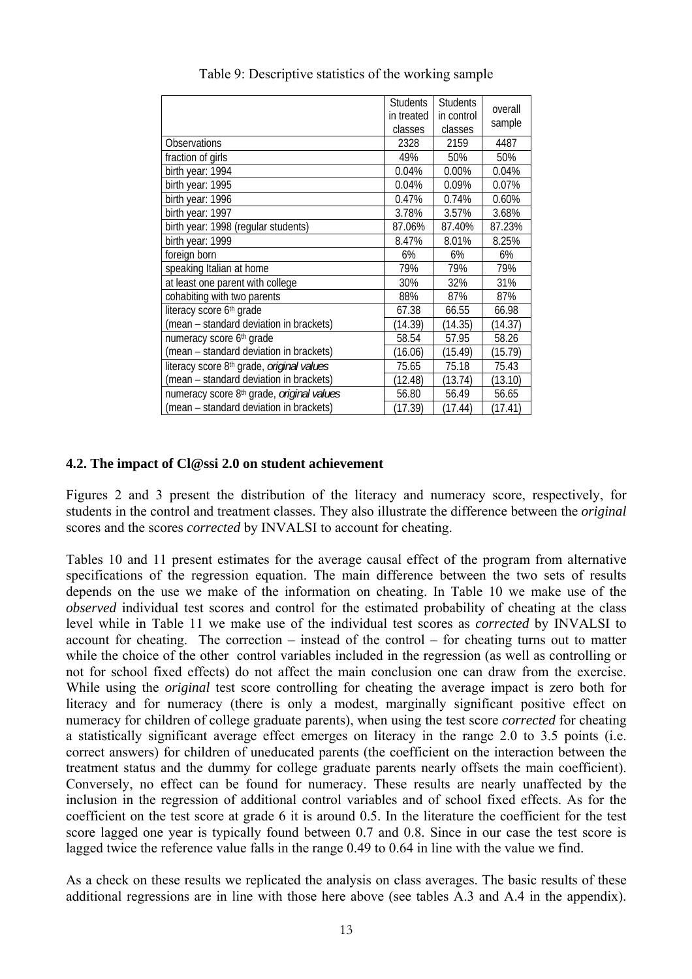|                                                              | <b>Students</b><br>in treated | <b>Students</b><br>in control | overall |
|--------------------------------------------------------------|-------------------------------|-------------------------------|---------|
|                                                              | classes                       | classes                       | sample  |
| <b>Observations</b>                                          | 2328                          | 2159                          | 4487    |
| fraction of girls                                            | 49%                           | 50%                           | 50%     |
| birth year: 1994                                             | 0.04%                         | 0.00%                         | 0.04%   |
| birth year: 1995                                             | 0.04%                         | 0.09%                         | 0.07%   |
| birth year: 1996                                             | 0.47%                         | 0.74%                         | 0.60%   |
| birth year: 1997                                             | 3.78%                         | 3.57%                         | 3.68%   |
| birth year: 1998 (regular students)                          | 87.06%                        | 87.40%                        | 87.23%  |
| birth year: 1999                                             | 8.47%                         | 8.01%                         | 8.25%   |
| foreign born                                                 | 6%                            | 6%                            | 6%      |
| speaking Italian at home                                     | 79%                           | 79%                           | 79%     |
| at least one parent with college                             | 30%                           | 32%                           | 31%     |
| cohabiting with two parents                                  | 88%                           | 87%                           | 87%     |
| literacy score 6th grade                                     | 67.38                         | 66.55                         | 66.98   |
| (mean - standard deviation in brackets)                      | (14.39)                       | (14.35)                       | (14.37) |
| numeracy score 6th grade                                     | 58.54                         | 57.95                         | 58.26   |
| (mean - standard deviation in brackets)                      | (16.06)                       | (15.49)                       | (15.79) |
| literacy score 8 <sup>th</sup> grade, <i>original values</i> | 75.65                         | 75.18                         | 75.43   |
| (mean - standard deviation in brackets)                      | (12.48)                       | (13.74)                       | (13.10) |
| numeracy score 8th grade, original values                    | 56.80                         | 56.49                         | 56.65   |
| (mean - standard deviation in brackets)                      | (17.39)                       | (17.44)                       | (17.41) |

Table 9: Descriptive statistics of the working sample

#### **4.2. The impact of Cl@ssi 2.0 on student achievement**

Figures 2 and 3 present the distribution of the literacy and numeracy score, respectively, for students in the control and treatment classes. They also illustrate the difference between the *original*  scores and the scores *corrected* by INVALSI to account for cheating.

Tables 10 and 11 present estimates for the average causal effect of the program from alternative specifications of the regression equation. The main difference between the two sets of results depends on the use we make of the information on cheating. In Table 10 we make use of the *observed* individual test scores and control for the estimated probability of cheating at the class level while in Table 11 we make use of the individual test scores as *corrected* by INVALSI to account for cheating. The correction – instead of the control – for cheating turns out to matter while the choice of the other control variables included in the regression (as well as controlling or not for school fixed effects) do not affect the main conclusion one can draw from the exercise. While using the *original* test score controlling for cheating the average impact is zero both for literacy and for numeracy (there is only a modest, marginally significant positive effect on numeracy for children of college graduate parents), when using the test score *corrected* for cheating a statistically significant average effect emerges on literacy in the range 2.0 to 3.5 points (i.e. correct answers) for children of uneducated parents (the coefficient on the interaction between the treatment status and the dummy for college graduate parents nearly offsets the main coefficient). Conversely, no effect can be found for numeracy. These results are nearly unaffected by the inclusion in the regression of additional control variables and of school fixed effects. As for the coefficient on the test score at grade 6 it is around 0.5. In the literature the coefficient for the test score lagged one year is typically found between 0.7 and 0.8. Since in our case the test score is lagged twice the reference value falls in the range 0.49 to 0.64 in line with the value we find.

As a check on these results we replicated the analysis on class averages. The basic results of these additional regressions are in line with those here above (see tables A.3 and A.4 in the appendix).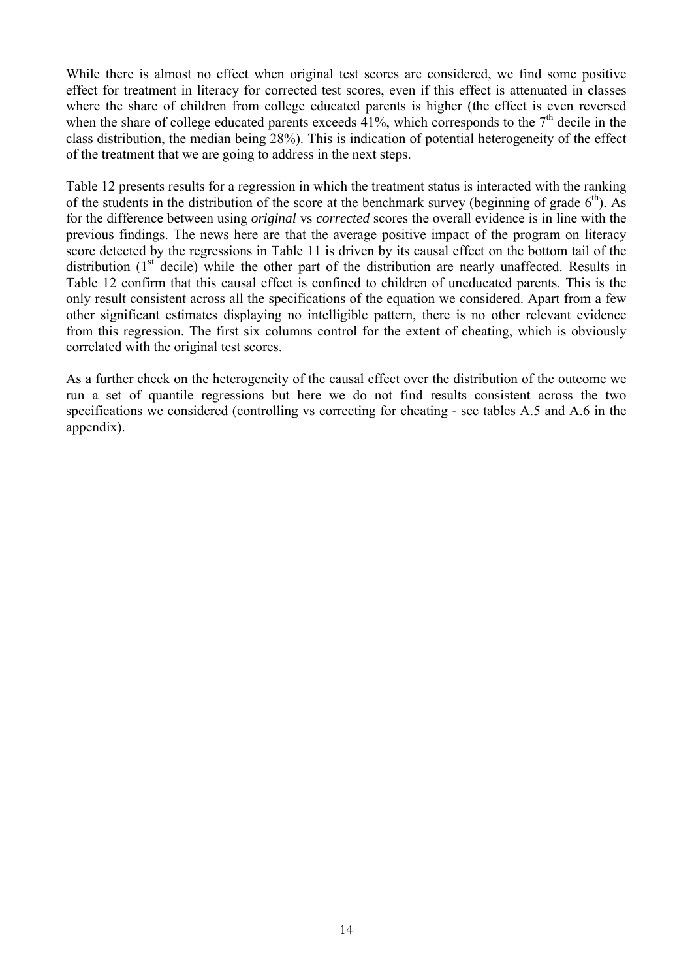While there is almost no effect when original test scores are considered, we find some positive effect for treatment in literacy for corrected test scores, even if this effect is attenuated in classes where the share of children from college educated parents is higher (the effect is even reversed when the share of college educated parents exceeds  $41\%$ , which corresponds to the  $7<sup>th</sup>$  decile in the class distribution, the median being 28%). This is indication of potential heterogeneity of the effect of the treatment that we are going to address in the next steps.

Table 12 presents results for a regression in which the treatment status is interacted with the ranking of the students in the distribution of the score at the benchmark survey (beginning of grade  $6<sup>th</sup>$ ). As for the difference between using *original* vs *corrected* scores the overall evidence is in line with the previous findings. The news here are that the average positive impact of the program on literacy score detected by the regressions in Table 11 is driven by its causal effect on the bottom tail of the distribution  $(1<sup>st</sup>$  decile) while the other part of the distribution are nearly unaffected. Results in Table 12 confirm that this causal effect is confined to children of uneducated parents. This is the only result consistent across all the specifications of the equation we considered. Apart from a few other significant estimates displaying no intelligible pattern, there is no other relevant evidence from this regression. The first six columns control for the extent of cheating, which is obviously correlated with the original test scores.

As a further check on the heterogeneity of the causal effect over the distribution of the outcome we run a set of quantile regressions but here we do not find results consistent across the two specifications we considered (controlling vs correcting for cheating - see tables A.5 and A.6 in the appendix).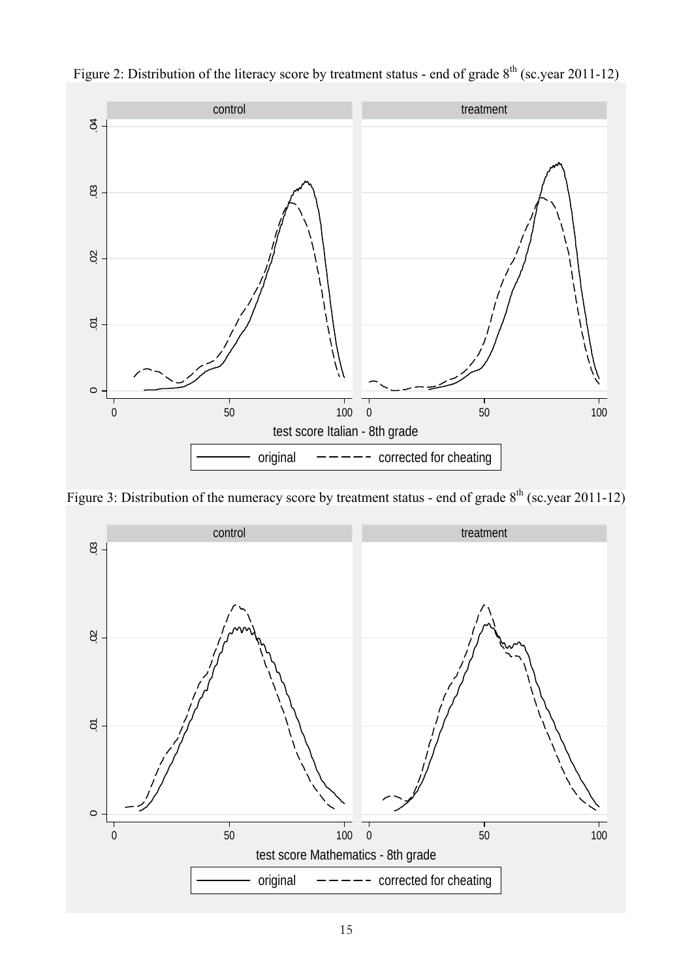

Figure 2: Distribution of the literacy score by treatment status - end of grade  $8<sup>th</sup>$  (sc.year 2011-12)

Figure 3: Distribution of the numeracy score by treatment status - end of grade  $8<sup>th</sup>$  (sc.year 2011-12)

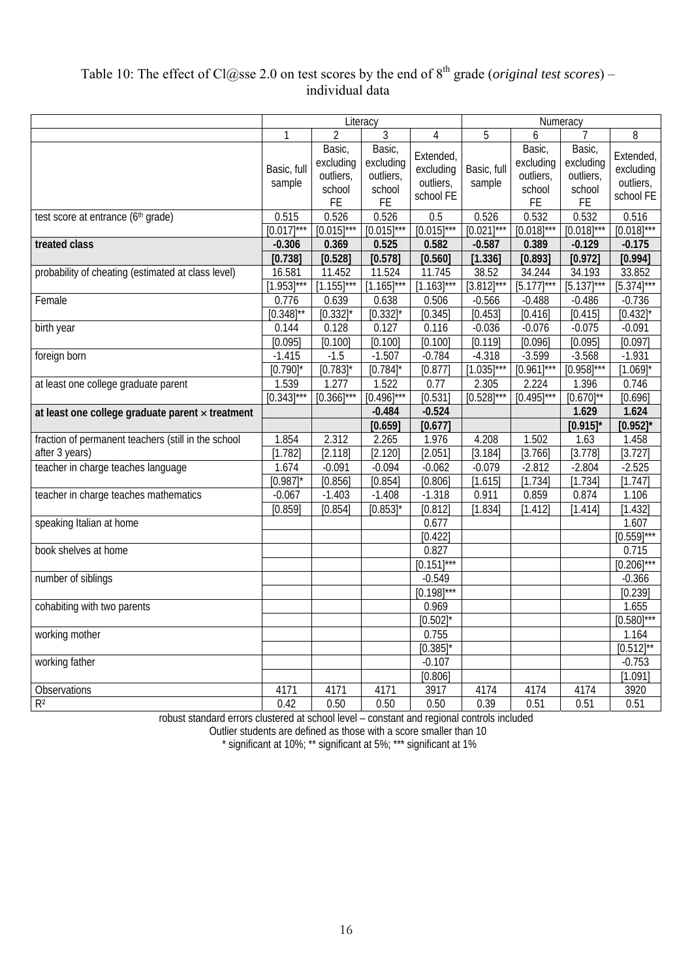## Table 10: The effect of Cl@sse 2.0 on test scores by the end of 8<sup>th</sup> grade (*original test scores*) – individual data

|                                                     |                       |                                                  | Literacy                                                |                                                  | Numeracy              |                                                  |                                                  |                                                  |
|-----------------------------------------------------|-----------------------|--------------------------------------------------|---------------------------------------------------------|--------------------------------------------------|-----------------------|--------------------------------------------------|--------------------------------------------------|--------------------------------------------------|
|                                                     | $\mathbf{1}$          | $\overline{2}$                                   | 3                                                       | $\overline{4}$                                   | 5                     | 6                                                |                                                  | 8                                                |
|                                                     | Basic, full<br>sample | Basic,<br>excluding<br>outliers,<br>school<br>FE | Basic,<br>excluding<br>outliers,<br>school<br><b>FE</b> | Extended,<br>excluding<br>outliers,<br>school FE | Basic, full<br>sample | Basic,<br>excluding<br>outliers,<br>school<br>FE | Basic,<br>excluding<br>outliers,<br>school<br>FE | Extended,<br>excluding<br>outliers,<br>school FE |
| test score at entrance (6th grade)                  | 0.515                 | 0.526                                            | 0.526                                                   | 0.5                                              | 0.526                 | 0.532                                            | 0.532                                            | 0.516                                            |
|                                                     | $[0.017]$ ***         | $[0.015]^{***}$                                  | $[0.015]^{***}$                                         | $[0.015]^{***}$                                  | $[0.021]$ ***         | $[0.018]^{***}$                                  | $[0.018]^{***}$                                  | $[0.018]^{***}$                                  |
| treated class                                       | $-0.306$              | 0.369                                            | 0.525                                                   | 0.582                                            | $-0.587$              | 0.389                                            | $-0.129$                                         | $-0.175$                                         |
|                                                     | [0.738]               | [0.528]                                          | [0.578]                                                 | [0.560]                                          | [1.336]               | [0.893]                                          | [0.972]                                          | [0.994]                                          |
| probability of cheating (estimated at class level)  | 16.581                | 11.452                                           | 11.524                                                  | 11.745                                           | 38.52                 | 34.244                                           | 34.193                                           | 33.852                                           |
|                                                     | $[1.953]^{***}$       | $[1.155]$ ***                                    | $[1.165]^{***}$                                         | $[1.163]^{***}$                                  | $[3.812]***$          | $[5.177]$ ***                                    | $[5.137]$ ***                                    | $[5.374]^{***}$                                  |
| Female                                              | 0.776                 | 0.639                                            | 0.638                                                   | 0.506                                            | $-0.566$              | $-0.488$                                         | $-0.486$                                         | $-0.736$                                         |
|                                                     | $[0.348]^{**}$        | $[0.332]$ <sup>*</sup>                           | [0.332]                                                 | [0.345]                                          | [0.453]               | [0.416]                                          | [0.415]                                          | $[0.432]$ *                                      |
| birth year                                          | 0.144                 | 0.128                                            | 0.127                                                   | 0.116                                            | $-0.036$              | $-0.076$                                         | $-0.075$                                         | $-0.091$                                         |
|                                                     | [0.095]               | [0.100]                                          | [0.100]                                                 | [0.100]                                          | [0.119]               | [0.096]                                          | [0.095]                                          | [0.097]                                          |
| foreign born                                        | $-1.415$              | $-1.5$                                           | $-1.507$                                                | $-0.784$                                         | $-4.318$              | $-3.599$                                         | $-3.568$                                         | $-1.931$                                         |
|                                                     | [0.790]               | [0.783]                                          | [0.784]                                                 | [0.877]                                          | $[1.035]$ ***         | $[0.961]$ ***                                    | $[0.958]$ ***                                    | $[1.069]$ *                                      |
| at least one college graduate parent                | 1.539                 | 1.277                                            | 1.522                                                   | 0.77                                             | 2.305                 | 2.224                                            | 1.396                                            | 0.746                                            |
|                                                     | $[0.343]$ ***         | $[0.366]$ ***                                    | $[0.496]$ ***                                           | [0.531]                                          | $[0.528]$ ***         | $[0.495]$ ***                                    | $[0.670]^{**}$                                   | [0.696]                                          |
| at least one college graduate parent x treatment    |                       |                                                  | $-0.484$                                                | $-0.524$                                         |                       |                                                  | 1.629                                            | 1.624                                            |
|                                                     |                       |                                                  | [0.659]                                                 | [0.677]                                          |                       |                                                  | [0.915]'                                         | [0.952]                                          |
| fraction of permanent teachers (still in the school | 1.854                 | 2.312                                            | 2.265                                                   | 1.976                                            | 4.208                 | 1.502                                            | 1.63                                             | 1.458                                            |
| after 3 years)                                      | [1.782]               | [2.118]                                          | [2.120]                                                 | [2.051]                                          | [3.184]               | [3.766]                                          | [3.778]                                          | [3.727]                                          |
| teacher in charge teaches language                  | 1.674                 | $-0.091$                                         | $-0.094$                                                | $-0.062$                                         | $-0.079$              | $-2.812$                                         | $-2.804$                                         | $-2.525$                                         |
|                                                     | [0.987]               | [0.856]                                          | [0.854]                                                 | [0.806]                                          | [1.615]               | [1.734]                                          | [1.734]                                          | [1.747]                                          |
| teacher in charge teaches mathematics               | $-0.067$              | $-1.403$                                         | $-1.408$                                                | $-1.318$                                         | 0.911                 | 0.859                                            | 0.874                                            | 1.106                                            |
|                                                     | [0.859]               | [0.854]                                          | $[0.853]$ <sup>*</sup>                                  | [0.812]                                          | [1.834]               | [1.412]                                          | [1.414]                                          | [1.432]                                          |
| speaking Italian at home                            |                       |                                                  |                                                         | 0.677                                            |                       |                                                  |                                                  | 1.607                                            |
|                                                     |                       |                                                  |                                                         | [0.422]                                          |                       |                                                  |                                                  | $[0.559]^{***}$                                  |
| book shelves at home                                |                       |                                                  |                                                         | 0.827                                            |                       |                                                  |                                                  | 0.715                                            |
|                                                     |                       |                                                  |                                                         | $[0.151]^{***}$                                  |                       |                                                  |                                                  | $[0.206]^{***}$                                  |
| number of siblings                                  |                       |                                                  |                                                         | $-0.549$                                         |                       |                                                  |                                                  | $-0.366$                                         |
|                                                     |                       |                                                  |                                                         | $[0.198]$ ***                                    |                       |                                                  |                                                  | [0.239]                                          |
| cohabiting with two parents                         |                       |                                                  |                                                         | 0.969                                            |                       |                                                  |                                                  | 1.655                                            |
|                                                     |                       |                                                  |                                                         | $[0.502]$ *                                      |                       |                                                  |                                                  | $[0.580]$ ***                                    |
| working mother                                      |                       |                                                  |                                                         | 0.755                                            |                       |                                                  |                                                  | 1.164                                            |
|                                                     |                       |                                                  |                                                         | [0.385]                                          |                       |                                                  |                                                  | $[0.512]^{**}$                                   |
| working father                                      |                       |                                                  |                                                         | $-0.107$                                         |                       |                                                  |                                                  | $-0.753$                                         |
|                                                     |                       |                                                  |                                                         | [0.806]                                          |                       |                                                  |                                                  | [1.091]                                          |
| Observations                                        | 4171                  | 4171                                             | 4171                                                    | 3917                                             | 4174                  | 4174                                             | 4174                                             | 3920                                             |
| R <sup>2</sup>                                      | 0.42                  | 0.50                                             | 0.50                                                    | 0.50                                             | 0.39                  | 0.51                                             | 0.51                                             | 0.51                                             |

robust standard errors clustered at school level – constant and regional controls included

Outlier students are defined as those with a score smaller than 10

\* significant at 10%; \*\* significant at 5%; \*\*\* significant at 1%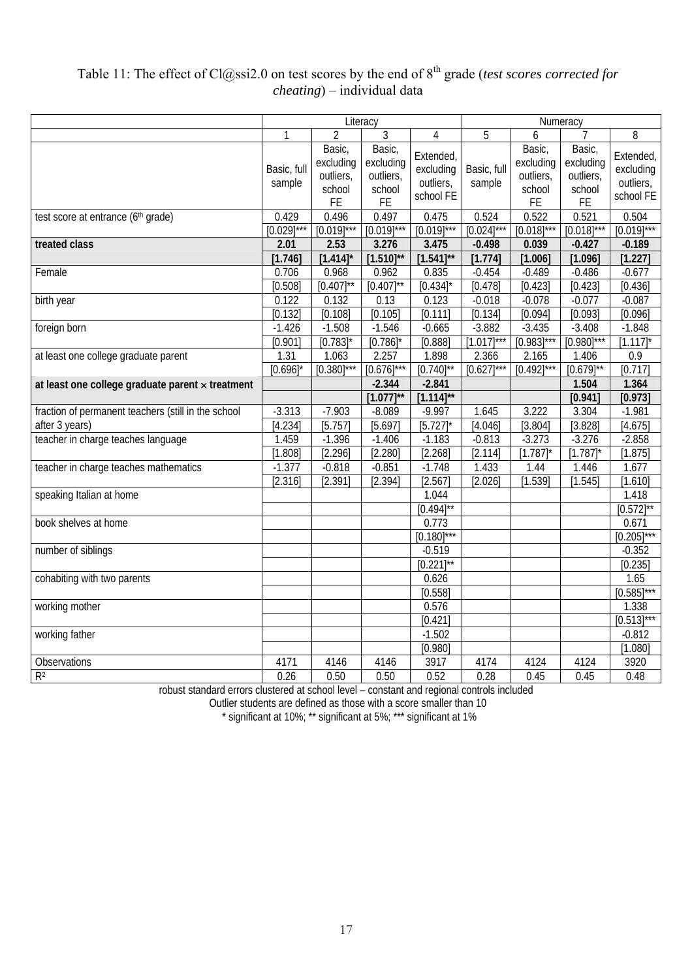## Table 11: The effect of Cl@ssi2.0 on test scores by the end of 8<sup>th</sup> grade (*test scores corrected for cheating*) – individual data

|                                                     |                          |                                                         | Literacy                                                |                                                  | Numeracy                 |                                                         |                                                  |                                                  |
|-----------------------------------------------------|--------------------------|---------------------------------------------------------|---------------------------------------------------------|--------------------------------------------------|--------------------------|---------------------------------------------------------|--------------------------------------------------|--------------------------------------------------|
|                                                     | $\mathbf{1}$             | $\overline{2}$                                          | 3                                                       | 4                                                | 5                        | 6                                                       |                                                  | 8                                                |
|                                                     | Basic, full<br>sample    | Basic,<br>excluding<br>outliers,<br>school<br><b>FE</b> | Basic,<br>excluding<br>outliers,<br>school<br><b>FE</b> | Extended,<br>excluding<br>outliers,<br>school FE | Basic, full<br>sample    | Basic,<br>excluding<br>outliers,<br>school<br><b>FE</b> | Basic,<br>excluding<br>outliers,<br>school<br>FE | Extended,<br>excluding<br>outliers,<br>school FE |
| test score at entrance (6th grade)                  | 0.429<br>$[0.029]^{***}$ | 0.496<br>$[0.019]^{***}$                                | 0.497<br>$[0.019]^{***}$                                | 0.475<br>$[0.019]^{***}$                         | 0.524<br>$[0.024]^{***}$ | 0.522<br>$[0.018]^{***}$                                | 0.521<br>$[0.018]$ ***                           | 0.504<br>$[0.019]^{***}$                         |
| treated class                                       | 2.01                     | 2.53                                                    | 3.276                                                   | 3.475                                            | $-0.498$                 | 0.039                                                   | $-0.427$                                         | $-0.189$                                         |
|                                                     | [1.746]                  | [1.414]                                                 | $[1.510]^{**}$                                          | $[1.541]^{**}$                                   | [1.774]                  | [1.006]                                                 | [1.096]                                          | [1.227]                                          |
| Female                                              | 0.706                    | 0.968                                                   | 0.962                                                   | 0.835                                            | $-0.454$                 | $-0.489$                                                | $-0.486$                                         | $-0.677$                                         |
|                                                     | [0.508]                  | $[0.407]^{**}$                                          | $[0.407]^{**}$                                          | [0.434]                                          | [0.478]                  | [0.423]                                                 | [0.423]                                          | [0.436]                                          |
| birth year                                          | 0.122                    | 0.132                                                   | 0.13                                                    | 0.123                                            | $-0.018$                 | $-0.078$                                                | $-0.077$                                         | $-0.087$                                         |
|                                                     | [0.132]                  | [0.108]                                                 | [0.105]                                                 | [0.111]                                          | [0.134]                  | [0.094]                                                 | [0.093]                                          | [0.096]                                          |
| foreign born                                        | $-1.426$                 | $-1.508$                                                | $-1.546$                                                | $-0.665$                                         | $-3.882$                 | $-3.435$                                                | $-3.408$                                         | $-1.848$                                         |
|                                                     | [0.901]                  | [0.783]                                                 | [0.786]                                                 | [0.888]                                          | $[1.017]$ ***            | $[0.983]$ ***                                           | $[0.980]$ ***                                    | $[1.117]$ *                                      |
| at least one college graduate parent                | 1.31                     | 1.063                                                   | 2.257                                                   | 1.898                                            | 2.366                    | 2.165                                                   | 1.406                                            | 0.9                                              |
|                                                     | [0.696]                  | $[0.380]^{***}$                                         | $[0.676]$ ***                                           | $[0.740]$ **                                     | $[0.627]$ ***            | $[0.492]^{***}$                                         | $[0.679]^{**}$                                   | [0.717]                                          |
| at least one college graduate parent x treatment    |                          |                                                         | $-2.344$                                                | $-2.841$                                         |                          |                                                         | 1.504                                            | 1.364                                            |
|                                                     |                          |                                                         | $[1.077]^{**}$                                          | $[1.114]^{**}$                                   |                          |                                                         | [0.941]                                          | [0.973]                                          |
| fraction of permanent teachers (still in the school | $-3.313$                 | $-7.903$                                                | $-8.089$                                                | $-9.997$                                         | 1.645                    | 3.222                                                   | 3.304                                            | $-1.981$                                         |
| after 3 years)                                      | [4.234]                  | [5.757]                                                 | [5.697]                                                 | [5.727]                                          | [4.046]                  | [3.804]                                                 | [3.828]                                          | [4.675]                                          |
| teacher in charge teaches language                  | 1.459                    | $-1.396$                                                | $-1.406$                                                | $-1.183$                                         | $-0.813$                 | $-3.273$                                                | $-3.276$                                         | $-2.858$                                         |
|                                                     | [1.808]                  | [2.296]                                                 | [2.280]                                                 | [2.268]                                          | [2.114]                  | [1.787]                                                 | $[1.787]$ <sup>*</sup>                           | [1.875]                                          |
| teacher in charge teaches mathematics               | $-1.377$                 | $-0.818$                                                | $-0.851$                                                | $-1.748$                                         | 1.433                    | 1.44                                                    | 1.446                                            | 1.677                                            |
|                                                     | [2.316]                  | [2.391]                                                 | [2.394]                                                 | [2.567]                                          | [2.026]                  | [1.539]                                                 | [1.545]                                          | [1.610]                                          |
| speaking Italian at home                            |                          |                                                         |                                                         | 1.044                                            |                          |                                                         |                                                  | 1.418                                            |
|                                                     |                          |                                                         |                                                         | $[0.494]^{**}$                                   |                          |                                                         |                                                  | $[0.572]^{**}$                                   |
| book shelves at home                                |                          |                                                         |                                                         | 0.773                                            |                          |                                                         |                                                  | 0.671                                            |
|                                                     |                          |                                                         |                                                         | $[0.180]$ ***                                    |                          |                                                         |                                                  | $[0.205]^{***}$                                  |
| number of siblings                                  |                          |                                                         |                                                         | $-0.519$                                         |                          |                                                         |                                                  | $-0.352$                                         |
|                                                     |                          |                                                         |                                                         | $[0.221]^{**}$                                   |                          |                                                         |                                                  | [0.235]                                          |
| cohabiting with two parents                         |                          |                                                         |                                                         | 0.626                                            |                          |                                                         |                                                  | 1.65                                             |
|                                                     |                          |                                                         |                                                         | [0.558]                                          |                          |                                                         |                                                  | $[0.585]$ ***                                    |
| working mother                                      |                          |                                                         |                                                         | 0.576                                            |                          |                                                         |                                                  | 1.338                                            |
|                                                     |                          |                                                         |                                                         | [0.421]                                          |                          |                                                         |                                                  | $[0.513]***$                                     |
| working father                                      |                          |                                                         |                                                         | $-1.502$                                         |                          |                                                         |                                                  | $-0.812$                                         |
|                                                     |                          |                                                         |                                                         | [0.980]                                          |                          |                                                         |                                                  | [1.080]                                          |
| Observations                                        | 4171                     | 4146                                                    | 4146                                                    | 3917                                             | 4174                     | 4124                                                    | 4124                                             | 3920                                             |
| $R^2$                                               | 0.26                     | 0.50                                                    | 0.50                                                    | 0.52                                             | 0.28                     | 0.45                                                    | 0.45                                             | 0.48                                             |

robust standard errors clustered at school level – constant and regional controls included

Outlier students are defined as those with a score smaller than 10

\* significant at 10%; \*\* significant at 5%; \*\*\* significant at 1%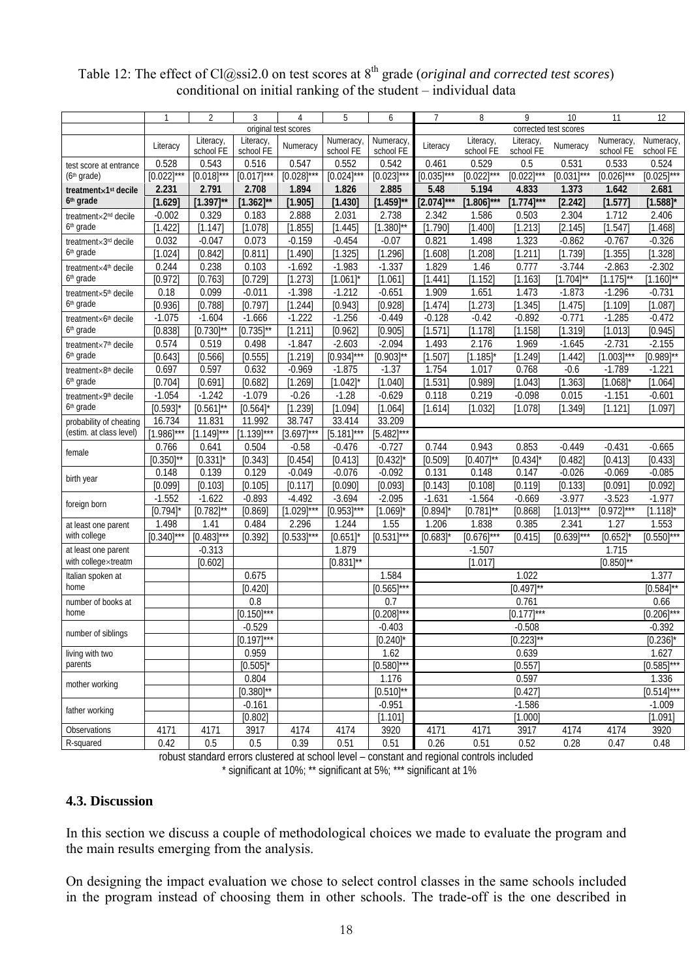### Table 12: The effect of Cl@ssi2.0 on test scores at 8<sup>th</sup> grade (*original and corrected test scores*) conditional on initial ranking of the student – individual data

|                                     |                 | $\overline{2}$  | 3                | $\overline{4}$       | 5               | 6                   | 7               | 8               | 9                       | 10              | 11                     | 12                      |
|-------------------------------------|-----------------|-----------------|------------------|----------------------|-----------------|---------------------|-----------------|-----------------|-------------------------|-----------------|------------------------|-------------------------|
|                                     |                 |                 |                  | original test scores |                 |                     |                 |                 | corrected test scores   |                 |                        |                         |
|                                     | Literacy        | Literacy,       | Literacy,        | Numeracy             | <b>Numeracy</b> | Numeracy,           | Literacy        | Literacy,       | Literacy,               | Numeracy        | Numeracy,              | Numeracy,               |
|                                     |                 | school FE       | school FE        |                      | school FE       | school FE           |                 | school FE       | school FE               |                 | school FE              | school FE               |
| test score at entrance              | 0.528           | 0.543           | 0.516            | 0.547                | 0.552           | 0.542               | 0.461           | 0.529           | 0.5                     | 0.531           | 0.533                  | 0.524                   |
| (6 <sup>th</sup> grade)             | $[0.022]$ ***   | $[0.018]^{***}$ | $[0.017]$ ***    | $[0.028]$ ***        | $[0.024]$ ***   | $[0.023]$ ***       | $[0.035]$ ***   | $[0.022]^{***}$ | $[0.022]$ ***           | [0.031]<br>***  | $[0.026]^{***}$        | $[0.025]^{***}$         |
| treatment×1 <sup>st</sup> decile    | 2.231           | 2.791           | 2.708            | 1.894                | 1.826           | 2.885               | 5.48            | 5.194           | 4.833                   | 1.373           | 1.642                  | 2.681                   |
| 6 <sup>th</sup> grade               | [1.629]         | $[1.397]^{**}$  | $[1.362]^{**}$   | [1.905]              | [1.430]         | $[1.459]^{**}$      | $[2.074]^{***}$ | $[1.806]^{***}$ | $[1.774]***$            | [2.242]         | [1.577]                | $[1.588]^{*}$           |
| treatment×2 <sup>nd</sup> decile    | $-0.002$        | 0.329           | 0.183            | 2.888                | 2.031           | 2.738               | 2.342           | 1.586           | 0.503                   | 2.304           | 1.712                  | 2.406                   |
| 6 <sup>th</sup> grade               | [1.422]         | [1.147]         | [1.078]          | [1.855]              | [1.445]         | $[1.380]^{**}$      | [1.790]         | [1.400]         | [1.213]                 | [2.145]         | [1.547]                | [1.468]                 |
| treatment×3rd decile                | 0.032           | $-0.047$        | 0.073            | $-0.159$             | $-0.454$        | $-0.07$             | 0.821           | 1.498           | 1.323                   | $-0.862$        | $-0.767$               | $-0.326$                |
| 6 <sup>th</sup> grade               | [1.024]         | [0.842]         | [0.811]          | [1.490]              | [1.325]         | [1.296]             | [1.608]         | [1.208]         | [1.211]                 | [1.739]         | [1.355]                | [1.328]                 |
| treatment×4 <sup>th</sup> decile    | 0.244           | 0.238           | 0.103            | $-1.692$             | $-1.983$        | $-1.337$            | 1.829           | 1.46            | 0.777                   | $-3.744$        | $-2.863$               | $-2.302$                |
| 6 <sup>th</sup> grade               | [0.972]         | [0.763]         | [0.729]          | [1.273]              | [1.061]         | [1.061]             | [1.441]         | [1.152]         | [1.163]                 | $[1.704]^{**}$  | $[1.175]^{**}$         | $[1.160]^{**}$          |
| treatment×5 <sup>th</sup> decile    | 0.18            | 0.099           | $-0.011$         | $-1.398$             | $-1.212$        | $-0.651$            | 1.909           | 1.651           | 1.473                   | $-1.873$        | $-1.296$               | $-0.731$                |
| 6 <sup>th</sup> grade               | [0.936]         | [0.788]         | [0.797]          | [1.244]              | [0.943]         | [0.928]             | [1.474]         | [1.273]         | [1.345]                 | [1.475]         | [1.109]                | [1.087]                 |
| treatment×6 <sup>th</sup> decile    | $-1.075$        | $-1.604$        | $-1.666$         | $-1.222$             | $-1.256$        | $-0.449$            | $-0.128$        | $-0.42$         | $-0.892$                | $-0.771$        | $-1.285$               | $-0.472$                |
| 6 <sup>th</sup> grade               | [0.838]         | $[0.730]$ **    | $[0.735]$ **     | [1.211]              | [0.962]         | [0.905]             | [1.571]         | [1.178]         | [1.158]                 | [1.319]         | [1.013]                | [0.945]                 |
| treatment×7 <sup>th</sup> decile    | 0.574           | 0.519           | 0.498            | $-1.847$             | $-2.603$        | $-2.094$            | 1.493           | 2.176           | 1.969                   | $-1.645$        | $-2.731$               | $-2.155$                |
| 6 <sup>th</sup> grade               | [0.643]         | [0.566]         | [0.555]          | [1.219]              | $[0.934]$ ***   | $[0.903]^{**}$      | [1.507]         | [1.185]         | [1.249]                 | [1.442]         | $[1.003]$ ***          | $[0.989]^{**}$          |
| treatment×8 <sup>th</sup> decile    | 0.697           | 0.597           | 0.632            | $-0.969$             | $-1.875$        | $-1.37$             | 1.754           | 1.017           | 0.768                   | $-0.6$          | $-1.789$               | $-1.221$                |
| 6 <sup>th</sup> grade               | [0.704]         | [0.691]         | [0.682]          | [1.269]              | $[1.042]$ *     | [1.040]             | [1.531]         | [0.989]         | [1.043]                 | [1.363]         | $[1.068]$ <sup>*</sup> | [1.064]                 |
| treatment×9th decile                | $-1.054$        | $-1.242$        | $-1.079$         | $-0.26$              | $-1.28$         | $-0.629$            | 0.118           | 0.219           | $-0.098$                | 0.015           | $-1.151$               | $-0.601$                |
| 6 <sup>th</sup> grade               | [0.593]         | $[0.561]$ **    | [0.564]          | [1.239]              | [1.094]         | [1.064]             | [1.614]         | [1.032]         | [1.078]                 | [1.349]         | [1.121]                | [1.097]                 |
| probability of cheating             | 16.734          | 11.831          | 11.992           | 38.747               | 33.414          | 33.209              |                 |                 |                         |                 |                        |                         |
| (estim. at class level)             | $[1.986]$ ***   | $[1.149]$ ***   | $[1.139]^{***}$  | $[3.697]$ ***        | $[5.181]$ ***   | $[5.482]$ ***       |                 |                 |                         |                 |                        |                         |
| female                              | 0.766           | 0.641           | 0.504            | $-0.58$              | $-0.476$        | $-0.727$            | 0.744           | 0.943           | 0.853                   | $-0.449$        | $-0.431$               | $-0.665$                |
|                                     | $[0.350]^{**}$  | [0.331]         | [0.343]          | [0.454]              | [0.413]         | $[0.432]$ *         | [0.509]         | $[0.407]^{**}$  | [0.434]                 | [0.482]         | [0.413]                | [0.433]                 |
| birth year                          | 0.148           | 0.139           | 0.129            | $-0.049$             | $-0.076$        | $-0.092$            | 0.131           | 0.148           | 0.147                   | $-0.026$        | $-0.069$               | $-0.085$                |
|                                     | [0.099]         | [0.103]         | [0.105]          | [0.117]              | [0.090]         | [0.093]             | [0.143]         | [0.108]         | [0.119]                 | [0.133]         | [0.091]                | [0.092]                 |
| foreign born                        | $-1.552$        | $-1.622$        | $-0.893$         | $-4.492$             | $-3.694$        | $-2.095$            | $-1.631$        | $-1.564$        | $-0.669$                | $-3.977$        | $-3.523$               | $-1.977$                |
|                                     | [0.794]         | $[0.782]$ **    | [0.869]          | $[1.029]^{***}$      | $[0.953]$ ***   | [1.069]             | [0.894]         | $[0.781]$ **    | [0.868]                 | $[1.013]^{***}$ | $[0.972]***$           | $[1.118]$ *             |
| at least one parent<br>with college | 1.498           | 1.41            | 0.484            | 2.296                | 1.244           | 1.55                | 1.206           | 1.838           | 0.385                   | 2.341           | 1.27                   | 1.553                   |
|                                     | $[0.340]^{***}$ | $[0.483]$ ***   | [0.392]          | $[0.533]^{***}$      | [0.651]         | $[0.531]$ ***       | [0.683]         | $[0.676]^{***}$ | [0.415]                 | $[0.639]$ ***   | $[0.652]$ <sup>*</sup> | $[0.550]^{***}$         |
| at least one parent                 |                 | $-0.313$        |                  |                      | 1.879           |                     |                 | $-1.507$        |                         |                 | 1.715                  |                         |
| with collegextreatm                 |                 | [0.602]         |                  |                      | $[0.831]$ **    | 1.584               |                 | [1.017]         |                         |                 | $[0.850]^{**}$         |                         |
| Italian spoken at<br>home           |                 |                 | 0.675<br>[0.420] |                      |                 | $[0.565]^{***}$     |                 |                 | 1.022<br>$[0.497]^{**}$ |                 |                        | 1.377<br>$[0.584]^{**}$ |
|                                     |                 |                 | $\overline{0.8}$ |                      |                 | 0.7                 |                 |                 | 0.761                   |                 |                        |                         |
| number of books at<br>home          |                 |                 | $[0.150]^{***}$  |                      |                 | $[0.208]$ ***       |                 |                 | $[0.177]$ ***           |                 |                        | 0.66<br>$[0.206]^{***}$ |
|                                     |                 |                 | $-0.529$         |                      |                 | $-0.403$            |                 |                 | $-0.508$                |                 |                        | $-0.392$                |
| number of siblings                  |                 |                 | $[0.197]$ ***    |                      |                 |                     |                 |                 |                         |                 |                        |                         |
|                                     |                 |                 | 0.959            |                      |                 | $[0.240]$ *<br>1.62 |                 |                 | $[0.223]^{**}$<br>0.639 |                 |                        | $[0.236]$ *<br>1.627    |
| living with two<br>parents          |                 |                 | $[0.505]$ *      |                      |                 | $[0.580]^{***}$     |                 |                 | [0.557]                 |                 |                        | $[0.585]$ ***           |
|                                     |                 |                 | 0.804            |                      |                 | 1.176               |                 |                 | 0.597                   |                 |                        | 1.336                   |
| mother working                      |                 |                 | $[0.380]^{**}$   |                      |                 | $[0.510]^{**}$      |                 |                 | [0.427]                 |                 |                        | $[0.514]$ ***           |
|                                     |                 |                 |                  |                      |                 | $-0.951$            |                 |                 |                         |                 |                        |                         |
| father working                      |                 |                 | $-0.161$         |                      |                 |                     |                 |                 | $-1.586$                |                 |                        | $-1.009$<br>[1.091]     |
|                                     |                 |                 | [0.802]          |                      |                 | [1.101]             |                 |                 | [1.000]                 |                 |                        |                         |
| Observations                        | 4171            | 4171            | 3917             | 4174                 | 4174            | 3920                | 4171            | 4171            | 3917                    | 4174            | 4174                   | 3920                    |
| R-squared                           | 0.42            | 0.5             | 0.5              | 0.39                 | 0.51            | 0.51                | 0.26            | 0.51            | 0.52                    | 0.28            | 0.47                   | 0.48                    |

robust standard errors clustered at school level – constant and regional controls included \* significant at 10%; \*\* significant at 5%; \*\*\* significant at 1%

#### **4.3. Discussion**

In this section we discuss a couple of methodological choices we made to evaluate the program and the main results emerging from the analysis.

On designing the impact evaluation we chose to select control classes in the same schools included in the program instead of choosing them in other schools. The trade-off is the one described in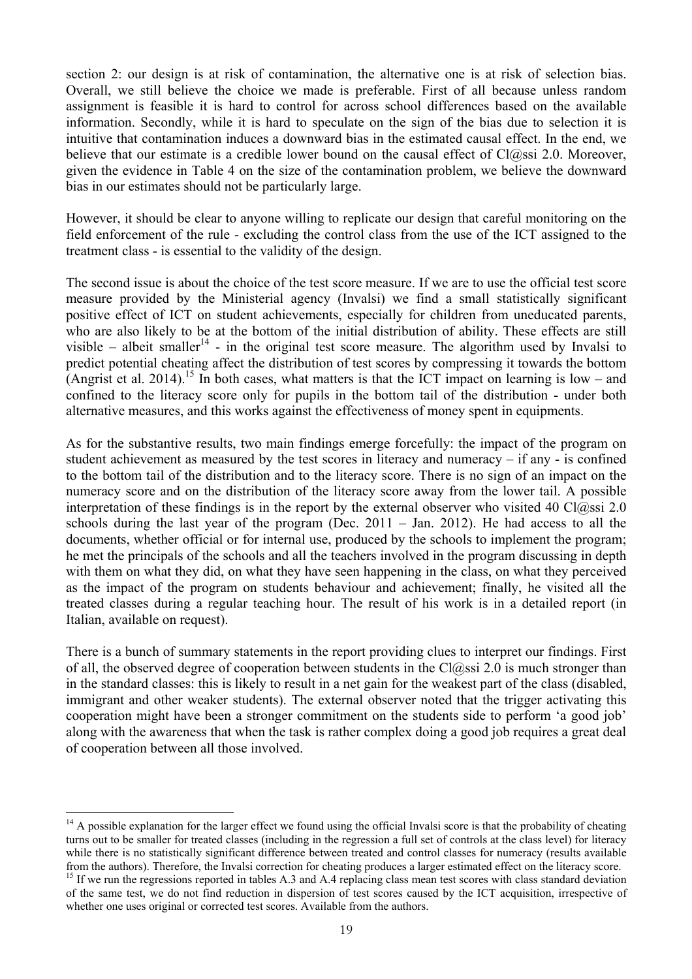section 2: our design is at risk of contamination, the alternative one is at risk of selection bias. Overall, we still believe the choice we made is preferable. First of all because unless random assignment is feasible it is hard to control for across school differences based on the available information. Secondly, while it is hard to speculate on the sign of the bias due to selection it is intuitive that contamination induces a downward bias in the estimated causal effect. In the end, we believe that our estimate is a credible lower bound on the causal effect of  $Cl(a)$ ssi 2.0. Moreover, given the evidence in Table 4 on the size of the contamination problem, we believe the downward bias in our estimates should not be particularly large.

However, it should be clear to anyone willing to replicate our design that careful monitoring on the field enforcement of the rule - excluding the control class from the use of the ICT assigned to the treatment class - is essential to the validity of the design.

The second issue is about the choice of the test score measure. If we are to use the official test score measure provided by the Ministerial agency (Invalsi) we find a small statistically significant positive effect of ICT on student achievements, especially for children from uneducated parents, who are also likely to be at the bottom of the initial distribution of ability. These effects are still visible – albeit smaller<sup>14</sup> - in the original test score measure. The algorithm used by Invalsi to predict potential cheating affect the distribution of test scores by compressing it towards the bottom (Angrist et al. 2014).<sup>15</sup> In both cases, what matters is that the ICT impact on learning is low – and confined to the literacy score only for pupils in the bottom tail of the distribution - under both alternative measures, and this works against the effectiveness of money spent in equipments.

As for the substantive results, two main findings emerge forcefully: the impact of the program on student achievement as measured by the test scores in literacy and numeracy – if any - is confined to the bottom tail of the distribution and to the literacy score. There is no sign of an impact on the numeracy score and on the distribution of the literacy score away from the lower tail. A possible interpretation of these findings is in the report by the external observer who visited 40 Cl $\hat{\omega}$ ssi 2.0 schools during the last year of the program (Dec. 2011 – Jan. 2012). He had access to all the documents, whether official or for internal use, produced by the schools to implement the program; he met the principals of the schools and all the teachers involved in the program discussing in depth with them on what they did, on what they have seen happening in the class, on what they perceived as the impact of the program on students behaviour and achievement; finally, he visited all the treated classes during a regular teaching hour. The result of his work is in a detailed report (in Italian, available on request).

There is a bunch of summary statements in the report providing clues to interpret our findings. First of all, the observed degree of cooperation between students in the  $Cl@ssi 2.0$  is much stronger than in the standard classes: this is likely to result in a net gain for the weakest part of the class (disabled, immigrant and other weaker students). The external observer noted that the trigger activating this cooperation might have been a stronger commitment on the students side to perform 'a good job' along with the awareness that when the task is rather complex doing a good job requires a great deal of cooperation between all those involved.

 $\overline{a}$  $14$  A possible explanation for the larger effect we found using the official Invalsi score is that the probability of cheating turns out to be smaller for treated classes (including in the regression a full set of controls at the class level) for literacy while there is no statistically significant difference between treated and control classes for numeracy (results available from the authors). Therefore, the Invalsi correction for cheating produces a larger estimated effect on the literacy score.<br><sup>15</sup> If we run the regressions reported in tables A.3 and A.4 replacing class mean test scores wit

of the same test, we do not find reduction in dispersion of test scores caused by the ICT acquisition, irrespective of whether one uses original or corrected test scores. Available from the authors.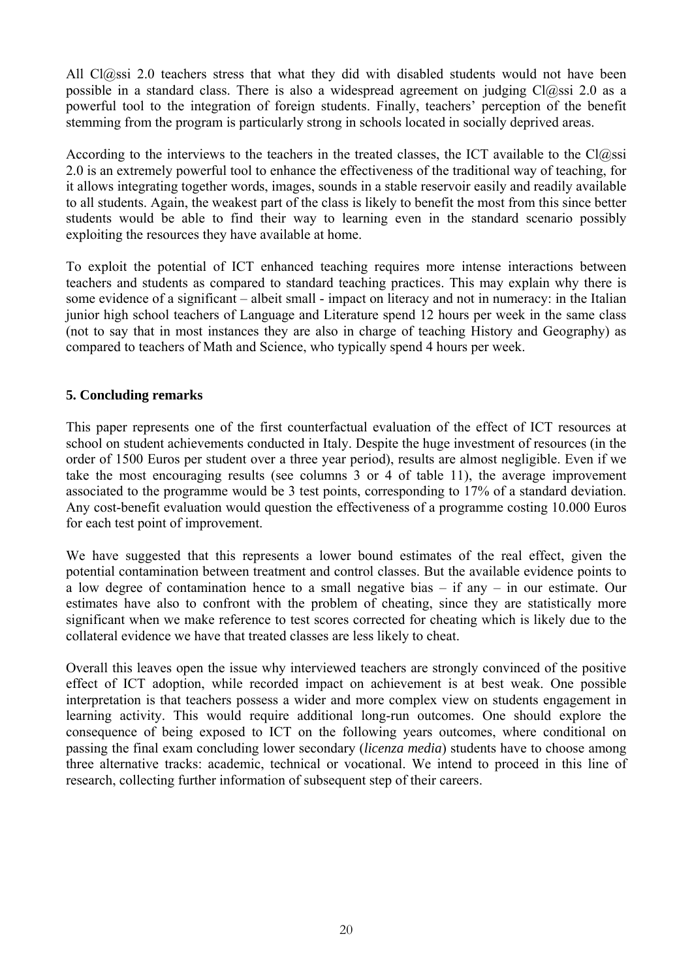All Cl@ssi 2.0 teachers stress that what they did with disabled students would not have been possible in a standard class. There is also a widespread agreement on judging  $Cl(a)$ ssi 2.0 as a powerful tool to the integration of foreign students. Finally, teachers' perception of the benefit stemming from the program is particularly strong in schools located in socially deprived areas.

According to the interviews to the teachers in the treated classes, the ICT available to the  $Cl(a)$ ssi 2.0 is an extremely powerful tool to enhance the effectiveness of the traditional way of teaching, for it allows integrating together words, images, sounds in a stable reservoir easily and readily available to all students. Again, the weakest part of the class is likely to benefit the most from this since better students would be able to find their way to learning even in the standard scenario possibly exploiting the resources they have available at home.

To exploit the potential of ICT enhanced teaching requires more intense interactions between teachers and students as compared to standard teaching practices. This may explain why there is some evidence of a significant – albeit small - impact on literacy and not in numeracy: in the Italian junior high school teachers of Language and Literature spend 12 hours per week in the same class (not to say that in most instances they are also in charge of teaching History and Geography) as compared to teachers of Math and Science, who typically spend 4 hours per week.

#### **5. Concluding remarks**

This paper represents one of the first counterfactual evaluation of the effect of ICT resources at school on student achievements conducted in Italy. Despite the huge investment of resources (in the order of 1500 Euros per student over a three year period), results are almost negligible. Even if we take the most encouraging results (see columns 3 or 4 of table 11), the average improvement associated to the programme would be 3 test points, corresponding to 17% of a standard deviation. Any cost-benefit evaluation would question the effectiveness of a programme costing 10.000 Euros for each test point of improvement.

We have suggested that this represents a lower bound estimates of the real effect, given the potential contamination between treatment and control classes. But the available evidence points to a low degree of contamination hence to a small negative bias  $-$  if any  $-$  in our estimate. Our estimates have also to confront with the problem of cheating, since they are statistically more significant when we make reference to test scores corrected for cheating which is likely due to the collateral evidence we have that treated classes are less likely to cheat.

Overall this leaves open the issue why interviewed teachers are strongly convinced of the positive effect of ICT adoption, while recorded impact on achievement is at best weak. One possible interpretation is that teachers possess a wider and more complex view on students engagement in learning activity. This would require additional long-run outcomes. One should explore the consequence of being exposed to ICT on the following years outcomes, where conditional on passing the final exam concluding lower secondary (*licenza media*) students have to choose among three alternative tracks: academic, technical or vocational. We intend to proceed in this line of research, collecting further information of subsequent step of their careers.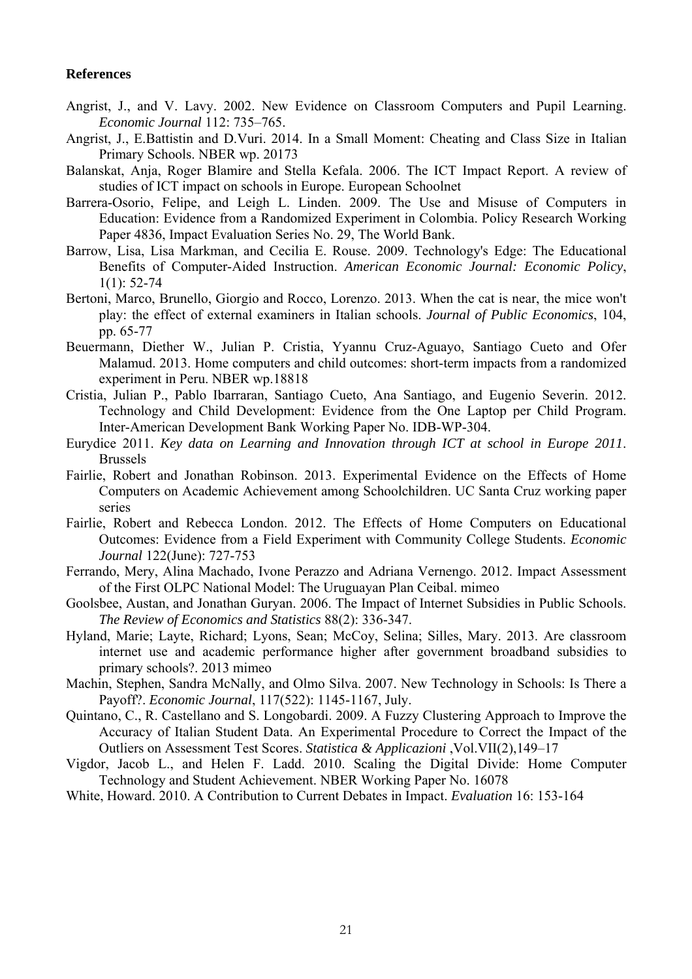#### **References**

- Angrist, J., and V. Lavy. 2002. New Evidence on Classroom Computers and Pupil Learning. *Economic Journal* 112: 735–765.
- Angrist, J., E.Battistin and D.Vuri. 2014. In a Small Moment: Cheating and Class Size in Italian Primary Schools. NBER wp. 20173
- Balanskat, Anja, Roger Blamire and Stella Kefala. 2006. The ICT Impact Report. A review of studies of ICT impact on schools in Europe. European Schoolnet
- Barrera-Osorio, Felipe, and Leigh L. Linden. 2009. The Use and Misuse of Computers in Education: Evidence from a Randomized Experiment in Colombia. Policy Research Working Paper 4836, Impact Evaluation Series No. 29, The World Bank.
- Barrow, Lisa, Lisa Markman, and Cecilia E. Rouse. 2009. Technology's Edge: The Educational Benefits of Computer-Aided Instruction. *American Economic Journal: Economic Policy*,  $1(1)$ : 52-74
- Bertoni, Marco, Brunello, Giorgio and Rocco, Lorenzo. 2013. When the cat is near, the mice won't play: the effect of external examiners in Italian schools. *Journal of Public Economics*, 104, pp. 65-77
- Beuermann, Diether W., Julian P. Cristia, Yyannu Cruz-Aguayo, Santiago Cueto and Ofer Malamud. 2013. Home computers and child outcomes: short-term impacts from a randomized experiment in Peru. NBER wp.18818
- Cristia, Julian P., Pablo Ibarraran, Santiago Cueto, Ana Santiago, and Eugenio Severin. 2012. Technology and Child Development: Evidence from the One Laptop per Child Program. Inter-American Development Bank Working Paper No. IDB-WP-304.
- Eurydice 2011. *Key data on Learning and Innovation through ICT at school in Europe 2011*. Brussels
- Fairlie, Robert and Jonathan Robinson. 2013. Experimental Evidence on the Effects of Home Computers on Academic Achievement among Schoolchildren. UC Santa Cruz working paper series
- Fairlie, Robert and Rebecca London. 2012. The Effects of Home Computers on Educational Outcomes: Evidence from a Field Experiment with Community College Students. *Economic Journal* 122(June): 727-753
- Ferrando, Mery, Alina Machado, Ivone Perazzo and Adriana Vernengo. 2012. Impact Assessment of the First OLPC National Model: The Uruguayan Plan Ceibal. mimeo
- Goolsbee, Austan, and Jonathan Guryan. 2006. The Impact of Internet Subsidies in Public Schools. *The Review of Economics and Statistics* 88(2): 336-347.
- Hyland, Marie; Layte, Richard; Lyons, Sean; McCoy, Selina; Silles, Mary. 2013. Are classroom internet use and academic performance higher after government broadband subsidies to primary schools?. 2013 mimeo
- Machin, Stephen, Sandra McNally, and Olmo Silva. 2007. New Technology in Schools: Is There a Payoff?. *Economic Journal*, 117(522): 1145-1167, July.
- Quintano, C., R. Castellano and S. Longobardi. 2009. A Fuzzy Clustering Approach to Improve the Accuracy of Italian Student Data. An Experimental Procedure to Correct the Impact of the Outliers on Assessment Test Scores. *Statistica & Applicazioni* ,Vol.VII(2),149–17
- Vigdor, Jacob L., and Helen F. Ladd. 2010. Scaling the Digital Divide: Home Computer Technology and Student Achievement. NBER Working Paper No. 16078

White, Howard. 2010. A Contribution to Current Debates in Impact. *Evaluation* 16: 153-164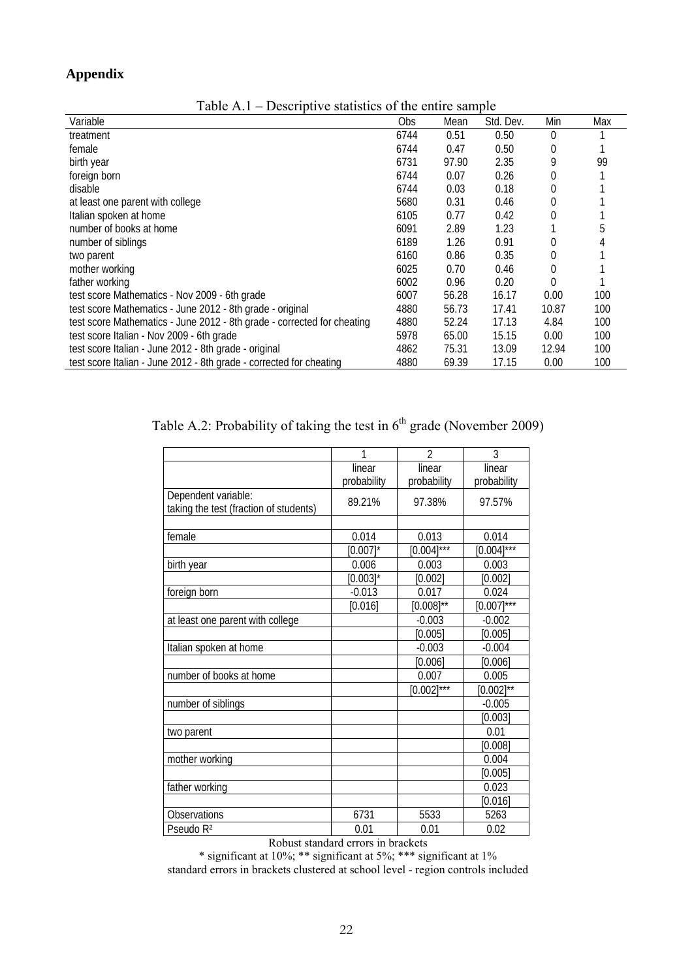# **Appendix**

| 1 UUIV 1 1.1<br>Descriptive statistics of the change sample             |      |       |           |          |     |  |  |  |  |
|-------------------------------------------------------------------------|------|-------|-----------|----------|-----|--|--|--|--|
| Variable                                                                | Obs. | Mean  | Std. Dev. | Min      | Max |  |  |  |  |
| treatment                                                               | 6744 | 0.51  | 0.50      | $\Omega$ |     |  |  |  |  |
| female                                                                  | 6744 | 0.47  | 0.50      | 0        |     |  |  |  |  |
| birth year                                                              | 6731 | 97.90 | 2.35      |          | 99  |  |  |  |  |
| foreign born                                                            | 6744 | 0.07  | 0.26      | 0        |     |  |  |  |  |
| disable                                                                 | 6744 | 0.03  | 0.18      | 0        |     |  |  |  |  |
| at least one parent with college                                        | 5680 | 0.31  | 0.46      | 0        |     |  |  |  |  |
| Italian spoken at home                                                  | 6105 | 0.77  | 0.42      | 0        |     |  |  |  |  |
| number of books at home                                                 | 6091 | 2.89  | 1.23      |          |     |  |  |  |  |
| number of siblings                                                      | 6189 | 1.26  | 0.91      | 0        |     |  |  |  |  |
| two parent                                                              | 6160 | 0.86  | 0.35      | 0        |     |  |  |  |  |
| mother working                                                          | 6025 | 0.70  | 0.46      | 0        |     |  |  |  |  |
| father working                                                          | 6002 | 0.96  | 0.20      |          |     |  |  |  |  |
| test score Mathematics - Nov 2009 - 6th grade                           | 6007 | 56.28 | 16.17     | 0.00     | 100 |  |  |  |  |
| test score Mathematics - June 2012 - 8th grade - original               | 4880 | 56.73 | 17.41     | 10.87    | 100 |  |  |  |  |
| test score Mathematics - June 2012 - 8th grade - corrected for cheating | 4880 | 52.24 | 17.13     | 4.84     | 100 |  |  |  |  |
| test score Italian - Nov 2009 - 6th grade                               | 5978 | 65.00 | 15.15     | 0.00     | 100 |  |  |  |  |
| test score Italian - June 2012 - 8th grade - original                   | 4862 | 75.31 | 13.09     | 12.94    | 100 |  |  |  |  |
| test score Italian - June 2012 - 8th grade - corrected for cheating     | 4880 | 69.39 | 17.15     | 0.00     | 100 |  |  |  |  |

Table A.1 – Descriptive statistics of the entire sample

|  |  |  |  |  | Table A.2: Probability of taking the test in $6^{th}$ grade (November 2009) |  |
|--|--|--|--|--|-----------------------------------------------------------------------------|--|
|--|--|--|--|--|-----------------------------------------------------------------------------|--|

|                                        | 1           | $\overline{\phantom{a}}$ | 3               |
|----------------------------------------|-------------|--------------------------|-----------------|
|                                        | linear      | linear                   | linear          |
|                                        | probability | probability              | probability     |
| Dependent variable:                    | 89.21%      | 97.38%                   | 97.57%          |
| taking the test (fraction of students) |             |                          |                 |
|                                        |             |                          |                 |
| female                                 | 0.014       | 0.013                    | 0.014           |
|                                        | $[0.007]$ * | $[0.004]^{***}$          | $[0.004]^{***}$ |
| birth year                             | 0.006       | 0.003                    | 0.003           |
|                                        | $[0.003]$ * | [0.002]                  | [0.002]         |
| foreign born                           | $-0.013$    | 0.017                    | 0.024           |
|                                        | [0.016]     | $[0.008]^{**}$           | $[0.007]^{***}$ |
| at least one parent with college       |             | $-0.003$                 | $-0.002$        |
|                                        |             | [0.005]                  | [0.005]         |
| Italian spoken at home                 |             | $-0.003$                 | $-0.004$        |
|                                        |             | [0.006]                  | [0.006]         |
| number of books at home                |             | 0.007                    | 0.005           |
|                                        |             | $[0.002]^{***}$          | $[0.002]^{**}$  |
| number of siblings                     |             |                          | $-0.005$        |
|                                        |             |                          | [0.003]         |
| two parent                             |             |                          | 0.01            |
|                                        |             |                          | [0.008]         |
| mother working                         |             |                          | 0.004           |
|                                        |             |                          | [0.005]         |
| father working                         |             |                          | 0.023           |
|                                        |             |                          | [0.016]         |
| Observations                           | 6731        | 5533                     | 5263            |
| Pseudo R <sup>2</sup>                  | 0.01        | 0.01                     | 0.02            |

Robust standard errors in brackets

\* significant at 10%; \*\* significant at 5%; \*\*\* significant at 1% standard errors in brackets clustered at school level - region controls included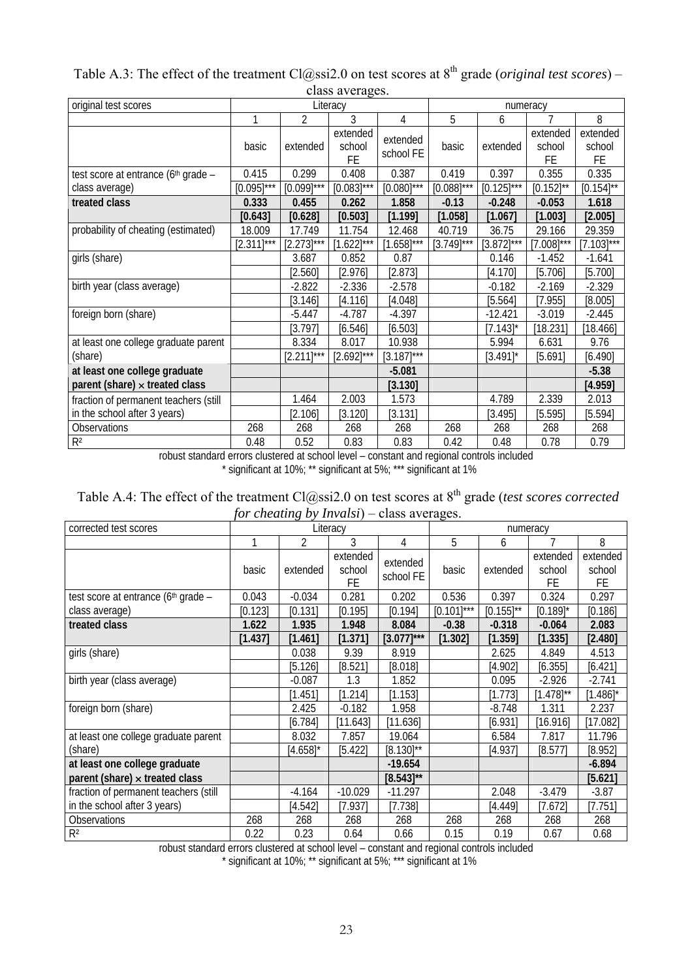| original test scores                            |                 |                 | $\mathbf{u}$ $\mathbf{v}$ $\mathbf{v}$ $\mathbf{u}$ $\mathbf{v}$ $\mathbf{v}$ $\mathbf{v}$ $\mathbf{v}$ $\mathbf{v}$ $\mathbf{v}$ $\mathbf{v}$<br>Literacy |                       |                 | numeracy        |                           |                                 |
|-------------------------------------------------|-----------------|-----------------|------------------------------------------------------------------------------------------------------------------------------------------------------------|-----------------------|-----------------|-----------------|---------------------------|---------------------------------|
|                                                 | 1               | 2               | 3                                                                                                                                                          | 4                     | 5               | 6               |                           | 8                               |
|                                                 | basic           | extended        | extended<br>school<br>FE                                                                                                                                   | extended<br>school FE | basic           | extended        | extended<br>school<br>FE. | extended<br>school<br><b>FE</b> |
| test score at entrance (6 <sup>th</sup> grade - | 0.415           | 0.299           | 0.408                                                                                                                                                      | 0.387                 | 0.419           | 0.397           | 0.355                     | 0.335                           |
| class average)                                  | $[0.095]^{***}$ | $[0.099]$ ***   | $[0.083]^{***}$                                                                                                                                            | $[0.080]^{***}$       | $[0.088]^{***}$ | $[0.125]^{***}$ | $[0.152]^{**}$            | $[0.154]^{**}$                  |
| treated class                                   | 0.333           | 0.455           | 0.262                                                                                                                                                      | 1.858                 | $-0.13$         | $-0.248$        | $-0.053$                  | 1.618                           |
|                                                 | [0.643]         | [0.628]         | [0.503]                                                                                                                                                    | [1.199]               | [1.058]         | [1.067]         | [1.003]                   | [2.005]                         |
| probability of cheating (estimated)             | 18.009          | 17.749          | 11.754                                                                                                                                                     | 12.468                | 40.719          | 36.75           | 29.166                    | 29.359                          |
|                                                 | $[2.311]^{***}$ | $[2.273]^{***}$ | $[1.622]^{***}$                                                                                                                                            | $[1.658]$ ***         | $[3.749]$ ***   | $[3.872]^{***}$ | $[7.008]^{***}$           | $[7.103]^{***}$                 |
| girls (share)                                   |                 | 3.687           | 0.852                                                                                                                                                      | 0.87                  |                 | 0.146           | $-1.452$                  | $-1.641$                        |
|                                                 |                 | [2.560]         | [2.976]                                                                                                                                                    | [2.873]               |                 | [4.170]         | [5.706]                   | [5.700]                         |
| birth year (class average)                      |                 | $-2.822$        | $-2.336$                                                                                                                                                   | $-2.578$              |                 | $-0.182$        | $-2.169$                  | $-2.329$                        |
|                                                 |                 | [3.146]         | [4.116]                                                                                                                                                    | [4.048]               |                 | [5.564]         | [7.955]                   | [8.005]                         |
| foreign born (share)                            |                 | $-5.447$        | $-4.787$                                                                                                                                                   | $-4.397$              |                 | $-12.421$       | $-3.019$                  | $-2.445$                        |
|                                                 |                 | [3.797]         | [6.546]                                                                                                                                                    | [6.503]               |                 | $[7.143]$ *     | [18.231]                  | [18.466]                        |
| at least one college graduate parent            |                 | 8.334           | 8.017                                                                                                                                                      | 10.938                |                 | 5.994           | 6.631                     | 9.76                            |
| (share)                                         |                 | $[2.211]^{***}$ | $[2.692]^{***}$                                                                                                                                            | $[3.187]$ ***         |                 | $[3.491]$ *     | [5.691]                   | [6.490]                         |
| at least one college graduate                   |                 |                 |                                                                                                                                                            | $-5.081$              |                 |                 |                           | $-5.38$                         |
| parent (share) $\times$ treated class           |                 |                 |                                                                                                                                                            | [3.130]               |                 |                 |                           | [4.959]                         |
| fraction of permanent teachers (still           |                 | 1.464           | 2.003                                                                                                                                                      | 1.573                 |                 | 4.789           | 2.339                     | 2.013                           |
| in the school after 3 years)                    |                 | [2.106]         | [3.120]                                                                                                                                                    | [3.131]               |                 | [3.495]         | [5.595]                   | [5.594]                         |
| <b>Observations</b>                             | 268             | 268             | 268                                                                                                                                                        | 268                   | 268             | 268             | 268                       | 268                             |
| R <sup>2</sup>                                  | 0.48            | 0.52            | 0.83                                                                                                                                                       | 0.83                  | 0.42            | 0.48            | 0.78                      | 0.79                            |

Table A.3: The effect of the treatment Cl@ssi2.0 on test scores at 8<sup>th</sup> grade (*original test scores*) – class averages.

robust standard errors clustered at school level – constant and regional controls included \* significant at 10%; \*\* significant at 5%; \*\*\* significant at 1%

| Table A.4: The effect of the treatment $Cl(a)$ ssi2.0 on test scores at $8th$ grade (test scores corrected |
|------------------------------------------------------------------------------------------------------------|
| <i>for cheating by Invalsi</i> ) – class averages.                                                         |

| corrected test scores                 |         |                | Literacy                 |                       |               | numeracy       |                          |                          |
|---------------------------------------|---------|----------------|--------------------------|-----------------------|---------------|----------------|--------------------------|--------------------------|
|                                       |         | $\overline{2}$ | 3                        | 4                     | 5             | 6              |                          | 8                        |
|                                       | basic   | extended       | extended<br>school<br>FE | extended<br>school FE | basic         | extended       | extended<br>school<br>FE | extended<br>school<br>FE |
| test score at entrance (6th grade -   | 0.043   | $-0.034$       | 0.281                    | 0.202                 | 0.536         | 0.397          | 0.324                    | 0.297                    |
| class average)                        | [0.123] | [0.131]        | [0.195]                  | [0.194]               | $[0.101]$ *** | $[0.155]^{**}$ | $[0.189]$ *              | [0.186]                  |
| treated class                         | 1.622   | 1.935          | 1.948                    | 8.084                 | $-0.38$       | $-0.318$       | $-0.064$                 | 2.083                    |
|                                       | [1.437] | [1.461]        | [1.371]                  | $[3.077]$ ***         | $[1.302]$     | $[1.359]$      | [1.335]                  | [2.480]                  |
| girls (share)                         |         | 0.038          | 9.39                     | 8.919                 |               | 2.625          | 4.849                    | 4.513                    |
|                                       |         | [5.126]        | [8.521]                  | [8.018]               |               | [4.902]        | [6.355]                  | [6.421]                  |
| birth year (class average)            |         | $-0.087$       | 1.3                      | 1.852                 |               | 0.095          | $-2.926$                 | $-2.741$                 |
|                                       |         | [1.451]        | [1.214]                  | [1.153]               |               | [1.773]        | $[1.478]^{**}$           | $[1.486]$ *              |
| foreign born (share)                  |         | 2.425          | $-0.182$                 | 1.958                 |               | $-8.748$       | 1.311                    | 2.237                    |
|                                       |         | [6.784]        | [11.643]                 | [11.636]              |               | [6.931]        | [16.916]                 | [17.082]                 |
| at least one college graduate parent  |         | 8.032          | 7.857                    | 19.064                |               | 6.584          | 7.817                    | 11.796                   |
| (share)                               |         | $[4.658]$ *    | [5.422]                  | $[8.130]^{**}$        |               | [4.937]        | [8.577]                  | [8.952]                  |
| at least one college graduate         |         |                |                          | $-19.654$             |               |                |                          | $-6.894$                 |
| parent (share) $\times$ treated class |         |                |                          | $[8.543]^{**}$        |               |                |                          | [5.621]                  |
| fraction of permanent teachers (still |         | $-4.164$       | $-10.029$                | $-11.297$             |               | 2.048          | $-3.479$                 | $-3.87$                  |
| in the school after 3 years)          |         | [4.542]        | [7.937]                  | [7.738]               |               | [4.449]        | [7.672]                  | [7.751]                  |
| <b>Observations</b>                   | 268     | 268            | 268                      | 268                   | 268           | 268            | 268                      | 268                      |
| R <sup>2</sup>                        | 0.22    | 0.23           | 0.64                     | 0.66                  | 0.15          | 0.19           | 0.67                     | 0.68                     |

robust standard errors clustered at school level – constant and regional controls included

\* significant at 10%; \*\* significant at 5%; \*\*\* significant at 1%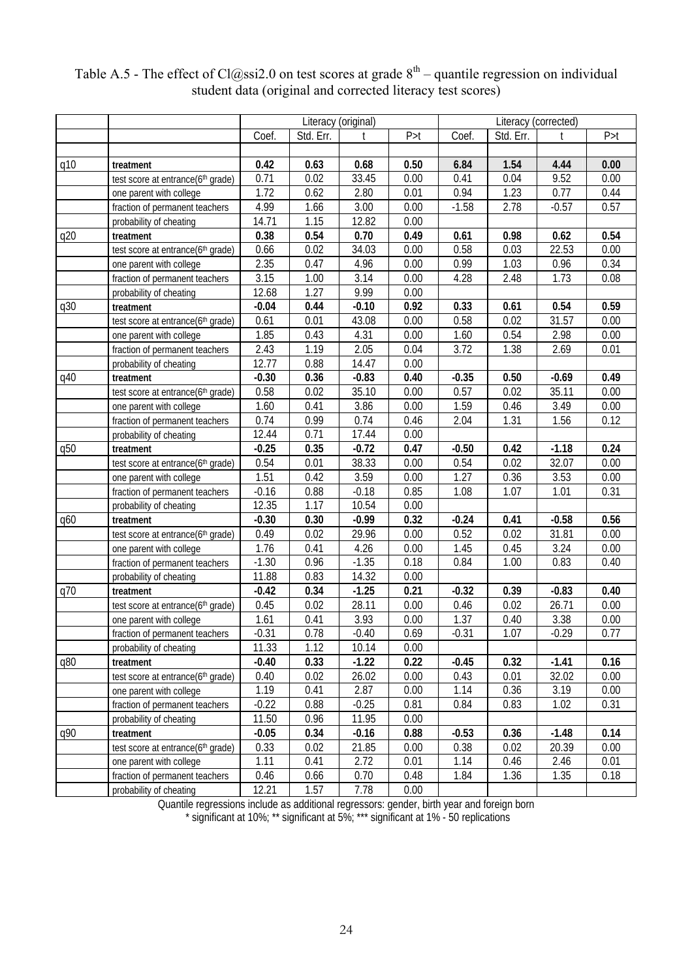|     |                                   | Literacy (original) |           |         |       | Literacy (corrected) |           |              |       |  |
|-----|-----------------------------------|---------------------|-----------|---------|-------|----------------------|-----------|--------------|-------|--|
|     |                                   | Coef.               | Std. Err. | t       | P > t | Coef.                | Std. Err. | $^{\dagger}$ | P > t |  |
|     |                                   |                     |           |         |       |                      |           |              |       |  |
| q10 | treatment                         | 0.42                | 0.63      | 0.68    | 0.50  | 6.84                 | 1.54      | 4.44         | 0.00  |  |
|     | test score at entrance(6th grade) | 0.71                | 0.02      | 33.45   | 0.00  | 0.41                 | 0.04      | 9.52         | 0.00  |  |
|     | one parent with college           | 1.72                | 0.62      | 2.80    | 0.01  | 0.94                 | 1.23      | 0.77         | 0.44  |  |
|     | fraction of permanent teachers    | 4.99                | 1.66      | 3.00    | 0.00  | $-1.58$              | 2.78      | $-0.57$      | 0.57  |  |
|     | probability of cheating           | 14.71               | 1.15      | 12.82   | 0.00  |                      |           |              |       |  |
| q20 | treatment                         | 0.38                | 0.54      | 0.70    | 0.49  | 0.61                 | 0.98      | 0.62         | 0.54  |  |
|     | test score at entrance(6th grade) | 0.66                | 0.02      | 34.03   | 0.00  | 0.58                 | 0.03      | 22.53        | 0.00  |  |
|     | one parent with college           | 2.35                | 0.47      | 4.96    | 0.00  | 0.99                 | 1.03      | 0.96         | 0.34  |  |
|     | fraction of permanent teachers    | 3.15                | 1.00      | 3.14    | 0.00  | 4.28                 | 2.48      | 1.73         | 0.08  |  |
|     | probability of cheating           | 12.68               | 1.27      | 9.99    | 0.00  |                      |           |              |       |  |
| q30 | treatment                         | $-0.04$             | 0.44      | $-0.10$ | 0.92  | 0.33                 | 0.61      | 0.54         | 0.59  |  |
|     | test score at entrance(6th grade) | 0.61                | 0.01      | 43.08   | 0.00  | 0.58                 | 0.02      | 31.57        | 0.00  |  |
|     | one parent with college           | 1.85                | 0.43      | 4.31    | 0.00  | 1.60                 | 0.54      | 2.98         | 0.00  |  |
|     | fraction of permanent teachers    | 2.43                | 1.19      | 2.05    | 0.04  | 3.72                 | 1.38      | 2.69         | 0.01  |  |
|     | probability of cheating           | 12.77               | 0.88      | 14.47   | 0.00  |                      |           |              |       |  |
| q40 | treatment                         | $-0.30$             | 0.36      | $-0.83$ | 0.40  | $-0.35$              | 0.50      | $-0.69$      | 0.49  |  |
|     | test score at entrance(6th grade) | 0.58                | 0.02      | 35.10   | 0.00  | 0.57                 | 0.02      | 35.11        | 0.00  |  |
|     | one parent with college           | 1.60                | 0.41      | 3.86    | 0.00  | 1.59                 | 0.46      | 3.49         | 0.00  |  |
|     | fraction of permanent teachers    | 0.74                | 0.99      | 0.74    | 0.46  | 2.04                 | 1.31      | 1.56         | 0.12  |  |
|     | probability of cheating           | 12.44               | 0.71      | 17.44   | 0.00  |                      |           |              |       |  |
| q50 | treatment                         | $-0.25$             | 0.35      | $-0.72$ | 0.47  | $-0.50$              | 0.42      | $-1.18$      | 0.24  |  |
|     | test score at entrance(6th grade) | 0.54                | 0.01      | 38.33   | 0.00  | 0.54                 | 0.02      | 32.07        | 0.00  |  |
|     | one parent with college           | 1.51                | 0.42      | 3.59    | 0.00  | 1.27                 | 0.36      | 3.53         | 0.00  |  |
|     | fraction of permanent teachers    | $-0.16$             | 0.88      | $-0.18$ | 0.85  | 1.08                 | 1.07      | 1.01         | 0.31  |  |
|     | probability of cheating           | 12.35               | 1.17      | 10.54   | 0.00  |                      |           |              |       |  |
| q60 | treatment                         | $-0.30$             | 0.30      | $-0.99$ | 0.32  | $-0.24$              | 0.41      | $-0.58$      | 0.56  |  |
|     | test score at entrance(6th grade) | 0.49                | 0.02      | 29.96   | 0.00  | 0.52                 | 0.02      | 31.81        | 0.00  |  |
|     | one parent with college           | 1.76                | 0.41      | 4.26    | 0.00  | 1.45                 | 0.45      | 3.24         | 0.00  |  |
|     | fraction of permanent teachers    | $-1.30$             | 0.96      | $-1.35$ | 0.18  | 0.84                 | 1.00      | 0.83         | 0.40  |  |
|     | probability of cheating           | 11.88               | 0.83      | 14.32   | 0.00  |                      |           |              |       |  |
| q70 | treatment                         | $-0.42$             | 0.34      | $-1.25$ | 0.21  | $-0.32$              | 0.39      | $-0.83$      | 0.40  |  |
|     | test score at entrance(6th grade) | 0.45                | 0.02      | 28.11   | 0.00  | 0.46                 | 0.02      | 26.71        | 0.00  |  |
|     | one parent with college           | 1.61                | 0.41      | 3.93    | 0.00  | 1.37                 | 0.40      | 3.38         | 0.00  |  |
|     | fraction of permanent teachers    | $-0.31$             | 0.78      | $-0.40$ | 0.69  | $-0.31$              | 1.07      | $-0.29$      | 0.77  |  |
|     | probability of cheating           | 11.33               | 1.12      | 10.14   | 0.00  |                      |           |              |       |  |
| q80 | treatment                         | $-0.40$             | 0.33      | $-1.22$ | 0.22  | $-0.45$              | 0.32      | $-1.41$      | 0.16  |  |
|     | test score at entrance(6th grade) | 0.40                | 0.02      | 26.02   | 0.00  | 0.43                 | 0.01      | 32.02        | 0.00  |  |
|     | one parent with college           | 1.19                | 0.41      | 2.87    | 0.00  | 1.14                 | 0.36      | 3.19         | 0.00  |  |
|     | fraction of permanent teachers    | $-0.22$             | 0.88      | $-0.25$ | 0.81  | 0.84                 | 0.83      | 1.02         | 0.31  |  |
|     | probability of cheating           | 11.50               | 0.96      | 11.95   | 0.00  |                      |           |              |       |  |
| q90 | treatment                         | $-0.05$             | 0.34      | $-0.16$ | 0.88  | $-0.53$              | 0.36      | $-1.48$      | 0.14  |  |
|     | test score at entrance(6th grade) | 0.33                | 0.02      | 21.85   | 0.00  | 0.38                 | 0.02      | 20.39        | 0.00  |  |
|     | one parent with college           | 1.11                | 0.41      | 2.72    | 0.01  | 1.14                 | 0.46      | 2.46         | 0.01  |  |
|     | fraction of permanent teachers    | 0.46                | 0.66      | 0.70    | 0.48  | 1.84                 | 1.36      | 1.35         | 0.18  |  |
|     | probability of cheating           | 12.21               | 1.57      | 7.78    | 0.00  |                      |           |              |       |  |

# Table A.5 - The effect of Cl@ssi2.0 on test scores at grade  $8<sup>th</sup>$  – quantile regression on individual student data (original and corrected literacy test scores)

Quantile regressions include as additional regressors: gender, birth year and foreign born \* significant at 10%; \*\* significant at 5%; \*\*\* significant at 1% - 50 replications